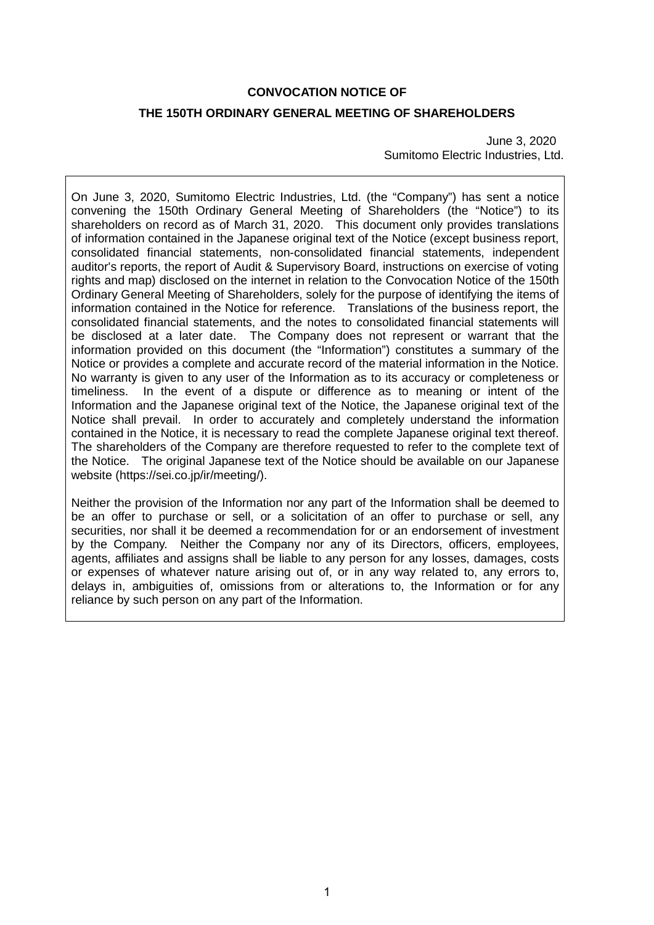# **CONVOCATION NOTICE OF**

## **THE 150TH ORDINARY GENERAL MEETING OF SHAREHOLDERS**

June 3, 2020 Sumitomo Electric Industries, Ltd.

On June 3, 2020, Sumitomo Electric Industries, Ltd. (the "Company") has sent a notice convening the 150th Ordinary General Meeting of Shareholders (the "Notice") to its shareholders on record as of March 31, 2020. This document only provides translations of information contained in the Japanese original text of the Notice (except business report, consolidated financial statements, non-consolidated financial statements, independent auditor's reports, the report of Audit & Supervisory Board, instructions on exercise of voting rights and map) disclosed on the internet in relation to the Convocation Notice of the 150th Ordinary General Meeting of Shareholders, solely for the purpose of identifying the items of information contained in the Notice for reference. Translations of the business report, the consolidated financial statements, and the notes to consolidated financial statements will be disclosed at a later date. The Company does not represent or warrant that the information provided on this document (the "Information") constitutes a summary of the Notice or provides a complete and accurate record of the material information in the Notice. No warranty is given to any user of the Information as to its accuracy or completeness or timeliness. In the event of a dispute or difference as to meaning or intent of the Information and the Japanese original text of the Notice, the Japanese original text of the Notice shall prevail. In order to accurately and completely understand the information contained in the Notice, it is necessary to read the complete Japanese original text thereof. The shareholders of the Company are therefore requested to refer to the complete text of the Notice. The original Japanese text of the Notice should be available on our Japanese website (https://sei.co.jp/ir/meeting/).

Neither the provision of the Information nor any part of the Information shall be deemed to be an offer to purchase or sell, or a solicitation of an offer to purchase or sell, any securities, nor shall it be deemed a recommendation for or an endorsement of investment by the Company. Neither the Company nor any of its Directors, officers, employees, agents, affiliates and assigns shall be liable to any person for any losses, damages, costs or expenses of whatever nature arising out of, or in any way related to, any errors to, delays in, ambiguities of, omissions from or alterations to, the Information or for any reliance by such person on any part of the Information.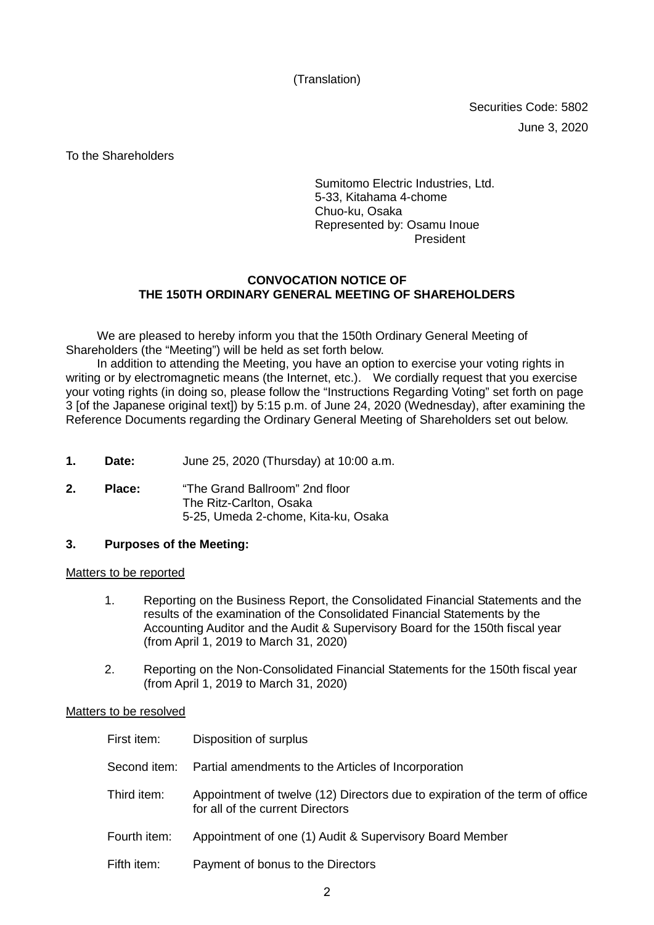(Translation)

Securities Code: 5802 June 3, 2020

To the Shareholders

Sumitomo Electric Industries, Ltd. 5-33, Kitahama 4-chome Chuo-ku, Osaka Represented by: Osamu Inoue President

## **CONVOCATION NOTICE OF THE 150TH ORDINARY GENERAL MEETING OF SHAREHOLDERS**

We are pleased to hereby inform you that the 150th Ordinary General Meeting of Shareholders (the "Meeting") will be held as set forth below.

In addition to attending the Meeting, you have an option to exercise your voting rights in writing or by electromagnetic means (the Internet, etc.). We cordially request that you exercise your voting rights (in doing so, please follow the "Instructions Regarding Voting" set forth on page 3 [of the Japanese original text]) by 5:15 p.m. of June 24, 2020 (Wednesday), after examining the Reference Documents regarding the Ordinary General Meeting of Shareholders set out below.

- **1. Date:** June 25, 2020 (Thursday) at 10:00 a.m.
- **2. Place:** "The Grand Ballroom" 2nd floor The Ritz-Carlton, Osaka 5-25, Umeda 2-chome, Kita-ku, Osaka

## **3. Purposes of the Meeting:**

#### Matters to be reported

- 1. Reporting on the Business Report, the Consolidated Financial Statements and the results of the examination of the Consolidated Financial Statements by the Accounting Auditor and the Audit & Supervisory Board for the 150th fiscal year (from April 1, 2019 to March 31, 2020)
- 2. Reporting on the Non-Consolidated Financial Statements for the 150th fiscal year (from April 1, 2019 to March 31, 2020)

#### Matters to be resolved

| First item:  | Disposition of surplus                                                                                           |
|--------------|------------------------------------------------------------------------------------------------------------------|
|              | Second item: Partial amendments to the Articles of Incorporation                                                 |
| Third item:  | Appointment of twelve (12) Directors due to expiration of the term of office<br>for all of the current Directors |
| Fourth item: | Appointment of one (1) Audit & Supervisory Board Member                                                          |
| Fifth item:  | Payment of bonus to the Directors                                                                                |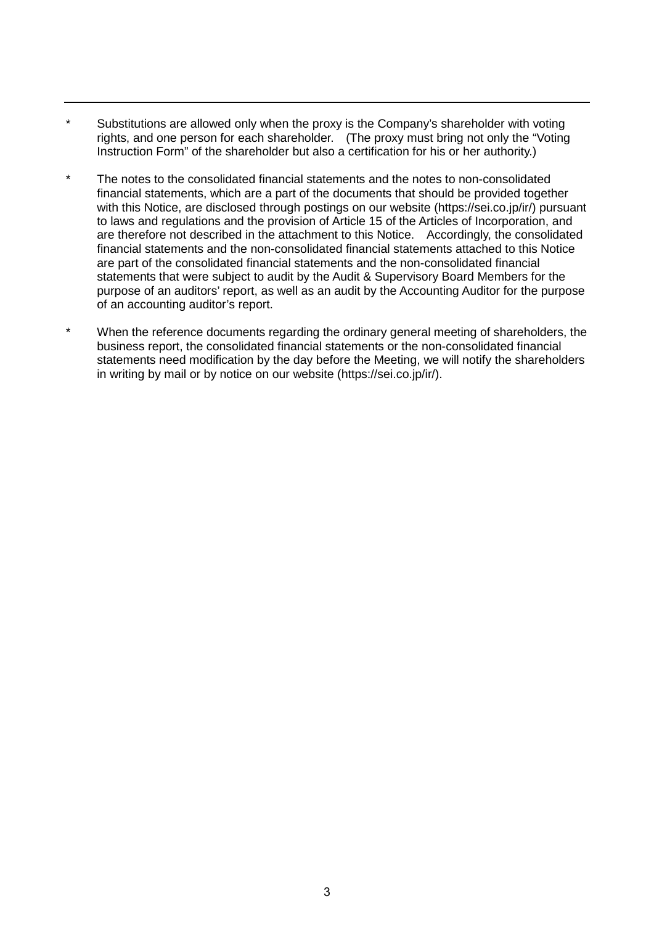- \* Substitutions are allowed only when the proxy is the Company's shareholder with voting rights, and one person for each shareholder. (The proxy must bring not only the "Voting Instruction Form" of the shareholder but also a certification for his or her authority.)
- \* The notes to the consolidated financial statements and the notes to non-consolidated financial statements, which are a part of the documents that should be provided together with this Notice, are disclosed through postings on our website (https://sei.co.jp/ir/) pursuant to laws and regulations and the provision of Article 15 of the Articles of Incorporation, and are therefore not described in the attachment to this Notice. Accordingly, the consolidated financial statements and the non-consolidated financial statements attached to this Notice are part of the consolidated financial statements and the non-consolidated financial statements that were subject to audit by the Audit & Supervisory Board Members for the purpose of an auditors' report, as well as an audit by the Accounting Auditor for the purpose of an accounting auditor's report.
- \* When the reference documents regarding the ordinary general meeting of shareholders, the business report, the consolidated financial statements or the non-consolidated financial statements need modification by the day before the Meeting, we will notify the shareholders in writing by mail or by notice on our website (https://sei.co.jp/ir/).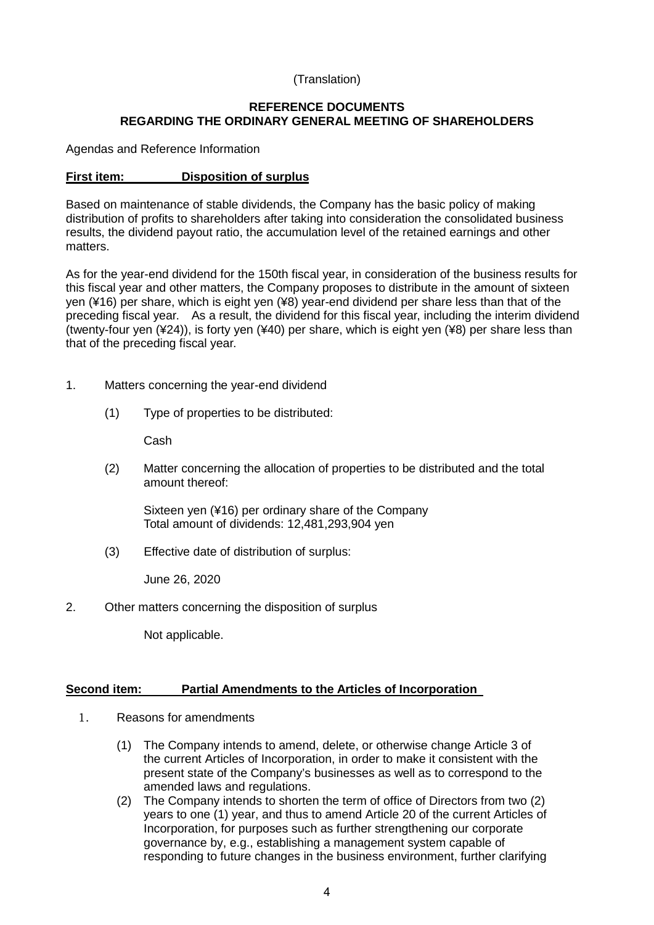# (Translation)

# **REFERENCE DOCUMENTS REGARDING THE ORDINARY GENERAL MEETING OF SHAREHOLDERS**

Agendas and Reference Information

# **First item: Disposition of surplus**

Based on maintenance of stable dividends, the Company has the basic policy of making distribution of profits to shareholders after taking into consideration the consolidated business results, the dividend payout ratio, the accumulation level of the retained earnings and other matters.

As for the year-end dividend for the 150th fiscal year, in consideration of the business results for this fiscal year and other matters, the Company proposes to distribute in the amount of sixteen yen (¥16) per share, which is eight yen (¥8) year-end dividend per share less than that of the preceding fiscal year. As a result, the dividend for this fiscal year, including the interim dividend (twenty-four yen (¥24)), is forty yen (¥40) per share, which is eight yen (¥8) per share less than that of the preceding fiscal year.

- 1. Matters concerning the year-end dividend
	- (1) Type of properties to be distributed:

Cash

(2) Matter concerning the allocation of properties to be distributed and the total amount thereof:

Sixteen yen (¥16) per ordinary share of the Company Total amount of dividends: 12,481,293,904 yen

(3) Effective date of distribution of surplus:

June 26, 2020

2. Other matters concerning the disposition of surplus

Not applicable.

## **Second item: Partial Amendments to the Articles of Incorporation**

- 1. Reasons for amendments
	- (1) The Company intends to amend, delete, or otherwise change Article 3 of the current Articles of Incorporation, in order to make it consistent with the present state of the Company's businesses as well as to correspond to the amended laws and regulations.
	- (2) The Company intends to shorten the term of office of Directors from two (2) years to one (1) year, and thus to amend Article 20 of the current Articles of Incorporation, for purposes such as further strengthening our corporate governance by, e.g., establishing a management system capable of responding to future changes in the business environment, further clarifying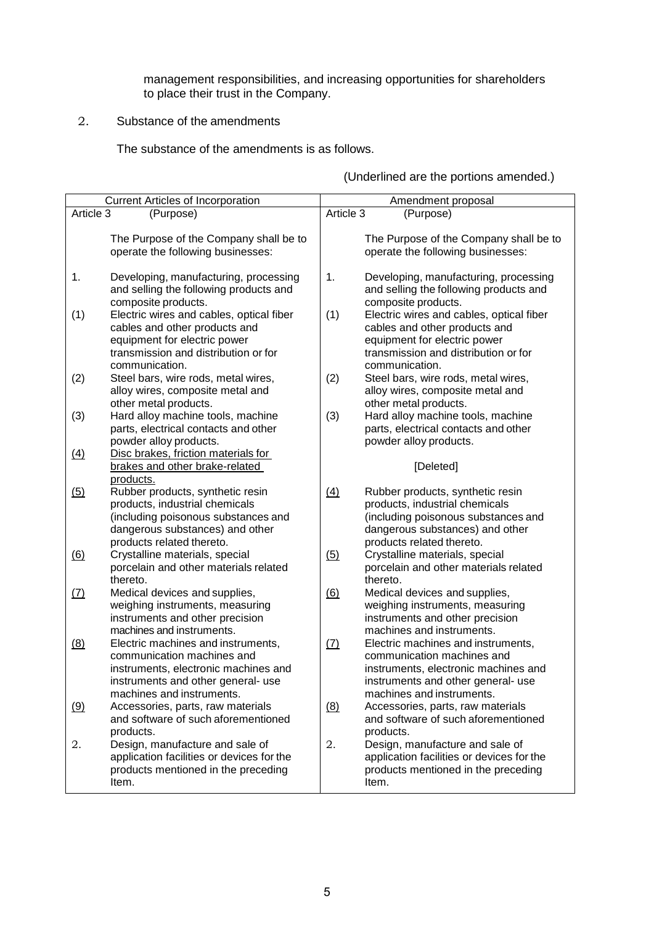management responsibilities, and increasing opportunities for shareholders to place their trust in the Company.

2. Substance of the amendments

The substance of the amendments is as follows.

|            | Current Articles of Incorporation                                                                                                                                           | Amendment proposal                                                                                                                                                                 |  |
|------------|-----------------------------------------------------------------------------------------------------------------------------------------------------------------------------|------------------------------------------------------------------------------------------------------------------------------------------------------------------------------------|--|
| Article 3  | (Purpose)                                                                                                                                                                   | Article 3<br>(Purpose)                                                                                                                                                             |  |
|            | The Purpose of the Company shall be to<br>operate the following businesses:                                                                                                 | The Purpose of the Company shall be to<br>operate the following businesses:                                                                                                        |  |
| 1.         | Developing, manufacturing, processing<br>and selling the following products and<br>composite products.                                                                      | 1.<br>Developing, manufacturing, processing<br>and selling the following products and<br>composite products.                                                                       |  |
| (1)        | Electric wires and cables, optical fiber<br>cables and other products and<br>equipment for electric power<br>transmission and distribution or for<br>communication.         | (1)<br>Electric wires and cables, optical fiber<br>cables and other products and<br>equipment for electric power<br>transmission and distribution or for<br>communication.         |  |
| (2)        | Steel bars, wire rods, metal wires,<br>alloy wires, composite metal and<br>other metal products.                                                                            | (2)<br>Steel bars, wire rods, metal wires,<br>alloy wires, composite metal and<br>other metal products.                                                                            |  |
| (3)        | Hard alloy machine tools, machine<br>parts, electrical contacts and other<br>powder alloy products.                                                                         | (3)<br>Hard alloy machine tools, machine<br>parts, electrical contacts and other<br>powder alloy products.                                                                         |  |
| (4)        | Disc brakes, friction materials for<br>brakes and other brake-related<br>products.                                                                                          | [Deleted]                                                                                                                                                                          |  |
| (5)        | Rubber products, synthetic resin<br>products, industrial chemicals<br>(including poisonous substances and<br>dangerous substances) and other<br>products related thereto.   | (4)<br>Rubber products, synthetic resin<br>products, industrial chemicals<br>(including poisonous substances and<br>dangerous substances) and other<br>products related thereto.   |  |
| (6)        | Crystalline materials, special<br>porcelain and other materials related<br>thereto.                                                                                         | (5)<br>Crystalline materials, special<br>porcelain and other materials related<br>thereto.                                                                                         |  |
| <u>(7)</u> | Medical devices and supplies,<br>weighing instruments, measuring<br>instruments and other precision<br>machines and instruments.                                            | (6)<br>Medical devices and supplies,<br>weighing instruments, measuring<br>instruments and other precision<br>machines and instruments.                                            |  |
| (8)        | Electric machines and instruments,<br>communication machines and<br>instruments, electronic machines and<br>instruments and other general- use<br>machines and instruments. | Electric machines and instruments,<br>(7)<br>communication machines and<br>instruments, electronic machines and<br>instruments and other general- use<br>machines and instruments. |  |
| (9)        | Accessories, parts, raw materials<br>and software of such aforementioned<br>products.                                                                                       | (8)<br>Accessories, parts, raw materials<br>and software of such aforementioned<br>products.                                                                                       |  |
| 2.         | Design, manufacture and sale of<br>application facilities or devices for the<br>products mentioned in the preceding<br>Item.                                                | 2.<br>Design, manufacture and sale of<br>application facilities or devices for the<br>products mentioned in the preceding<br>Item.                                                 |  |

(Underlined are the portions amended.)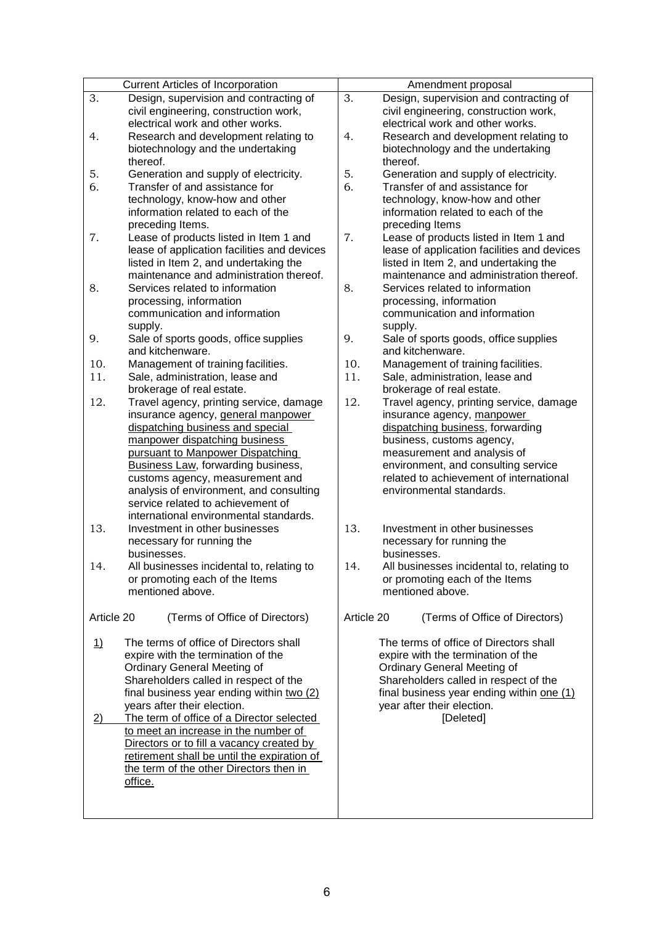| <b>Current Articles of Incorporation</b>                     | Amendment proposal                               |
|--------------------------------------------------------------|--------------------------------------------------|
| 3.<br>Design, supervision and contracting of                 | 3.<br>Design, supervision and contracting of     |
| civil engineering, construction work,                        | civil engineering, construction work,            |
| electrical work and other works.                             | electrical work and other works.                 |
| 4.<br>Research and development relating to                   | 4.<br>Research and development relating to       |
| biotechnology and the undertaking                            | biotechnology and the undertaking                |
| thereof.                                                     | thereof.                                         |
| 5.<br>Generation and supply of electricity.                  | 5.<br>Generation and supply of electricity.      |
| 6.<br>Transfer of and assistance for                         | 6.<br>Transfer of and assistance for             |
| technology, know-how and other                               | technology, know-how and other                   |
| information related to each of the                           | information related to each of the               |
| preceding Items.                                             | preceding Items                                  |
| 7.<br>Lease of products listed in Item 1 and                 | 7.<br>Lease of products listed in Item 1 and     |
| lease of application facilities and devices                  | lease of application facilities and devices      |
| listed in Item 2, and undertaking the                        | listed in Item 2, and undertaking the            |
| maintenance and administration thereof.                      | maintenance and administration thereof.          |
| 8.<br>Services related to information                        | 8.<br>Services related to information            |
| processing, information                                      | processing, information                          |
| communication and information                                | communication and information                    |
| supply.                                                      | supply.                                          |
| Sale of sports goods, office supplies<br>9.                  | 9.<br>Sale of sports goods, office supplies      |
| and kitchenware.                                             | and kitchenware.                                 |
| 10.<br>Management of training facilities.                    | 10.<br>Management of training facilities.        |
| 11.<br>Sale, administration, lease and                       | 11.<br>Sale, administration, lease and           |
| brokerage of real estate.                                    | brokerage of real estate.                        |
| 12.<br>Travel agency, printing service, damage               | 12.<br>Travel agency, printing service, damage   |
| insurance agency, general manpower                           | insurance agency, manpower                       |
| dispatching business and special                             | dispatching business, forwarding                 |
| manpower dispatching business                                | business, customs agency,                        |
| pursuant to Manpower Dispatching                             | measurement and analysis of                      |
| Business Law, forwarding business,                           | environment, and consulting service              |
| customs agency, measurement and                              | related to achievement of international          |
| analysis of environment, and consulting                      | environmental standards.                         |
| service related to achievement of                            |                                                  |
| international environmental standards.                       |                                                  |
| 13.<br>Investment in other businesses                        | 13.<br>Investment in other businesses            |
| necessary for running the                                    | necessary for running the                        |
| businesses.                                                  | businesses.                                      |
| 14.<br>All businesses incidental to, relating to             | 14.<br>All businesses incidental to, relating to |
| or promoting each of the Items                               | or promoting each of the Items                   |
| mentioned above.                                             | mentioned above.                                 |
|                                                              |                                                  |
| Article 20<br>(Terms of Office of Directors)                 | Article 20<br>(Terms of Office of Directors)     |
|                                                              |                                                  |
| The terms of office of Directors shall<br><u>1)</u>          | The terms of office of Directors shall           |
| expire with the termination of the                           | expire with the termination of the               |
| <b>Ordinary General Meeting of</b>                           | <b>Ordinary General Meeting of</b>               |
| Shareholders called in respect of the                        | Shareholders called in respect of the            |
| final business year ending within two (2)                    | final business year ending within one (1)        |
| years after their election.                                  | year after their election.                       |
| The term of office of a Director selected<br>$\overline{2)}$ | [Deleted]                                        |
| to meet an increase in the number of                         |                                                  |
| Directors or to fill a vacancy created by                    |                                                  |
| retirement shall be until the expiration of                  |                                                  |
| the term of the other Directors then in                      |                                                  |
| office.                                                      |                                                  |
|                                                              |                                                  |
|                                                              |                                                  |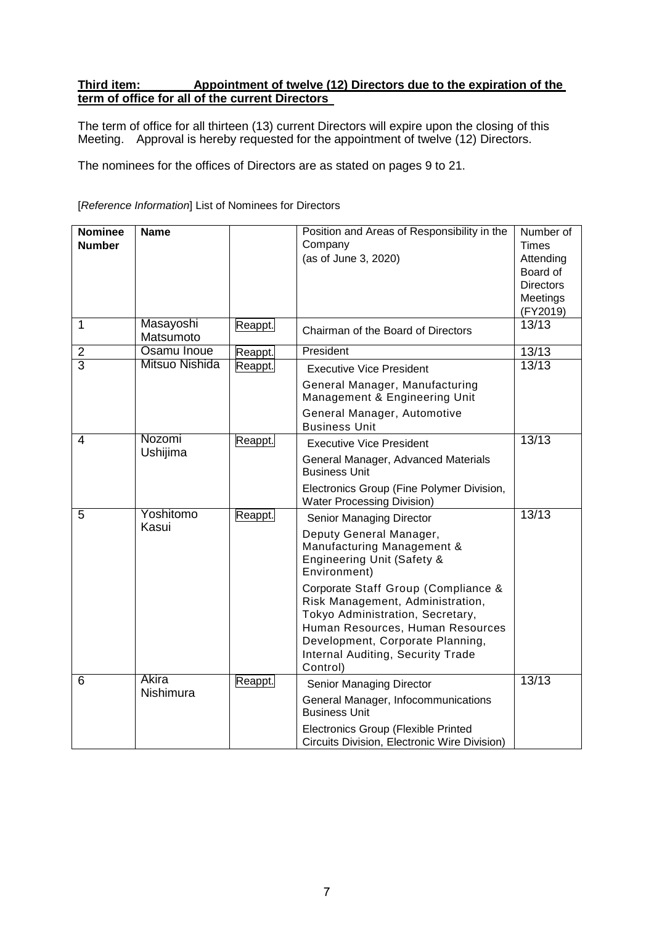# **Third item: Appointment of twelve (12) Directors due to the expiration of the term of office for all of the current Directors**

The term of office for all thirteen (13) current Directors will expire upon the closing of this Meeting. Approval is hereby requested for the appointment of twelve (12) Directors.

The nominees for the offices of Directors are as stated on pages 9 to 21.

## [*Reference Information*] List of Nominees for Directors

| <b>Nominee</b> | <b>Name</b>            |         | Position and Areas of Responsibility in the                                                                                                                                                                                          | Number of          |
|----------------|------------------------|---------|--------------------------------------------------------------------------------------------------------------------------------------------------------------------------------------------------------------------------------------|--------------------|
| <b>Number</b>  |                        |         | Company<br>(as of June 3, 2020)                                                                                                                                                                                                      | Times<br>Attending |
|                |                        |         |                                                                                                                                                                                                                                      | Board of           |
|                |                        |         |                                                                                                                                                                                                                                      | <b>Directors</b>   |
|                |                        |         |                                                                                                                                                                                                                                      | Meetings           |
|                |                        |         |                                                                                                                                                                                                                                      | (FY2019)           |
| 1              | Masayoshi<br>Matsumoto | Reappt. | Chairman of the Board of Directors                                                                                                                                                                                                   | 13/13              |
| $\mathbf 2$    | Osamu Inoue            | Reappt. | President                                                                                                                                                                                                                            | 13/13              |
| $\overline{3}$ | Mitsuo Nishida         | Reappt. | <b>Executive Vice President</b>                                                                                                                                                                                                      | 13/13              |
|                |                        |         | General Manager, Manufacturing<br>Management & Engineering Unit                                                                                                                                                                      |                    |
|                |                        |         | General Manager, Automotive<br><b>Business Unit</b>                                                                                                                                                                                  |                    |
| $\overline{4}$ | Nozomi                 | Reappt. | <b>Executive Vice President</b>                                                                                                                                                                                                      | 13/13              |
|                | Ushijima               |         | General Manager, Advanced Materials<br><b>Business Unit</b>                                                                                                                                                                          |                    |
|                |                        |         | Electronics Group (Fine Polymer Division,<br><b>Water Processing Division)</b>                                                                                                                                                       |                    |
| 5              | Yoshitomo              | Reappt. | Senior Managing Director                                                                                                                                                                                                             | 13/13              |
|                | Kasui                  |         | Deputy General Manager,<br>Manufacturing Management &<br><b>Engineering Unit (Safety &amp;</b><br>Environment)                                                                                                                       |                    |
|                |                        |         | Corporate Staff Group (Compliance &<br>Risk Management, Administration,<br>Tokyo Administration, Secretary,<br>Human Resources, Human Resources<br>Development, Corporate Planning,<br>Internal Auditing, Security Trade<br>Control) |                    |
| 6              | Akira                  | Reappt. | Senior Managing Director                                                                                                                                                                                                             | 13/13              |
|                | <b>Nishimura</b>       |         | General Manager, Infocommunications<br><b>Business Unit</b>                                                                                                                                                                          |                    |
|                |                        |         | <b>Electronics Group (Flexible Printed</b><br>Circuits Division, Electronic Wire Division)                                                                                                                                           |                    |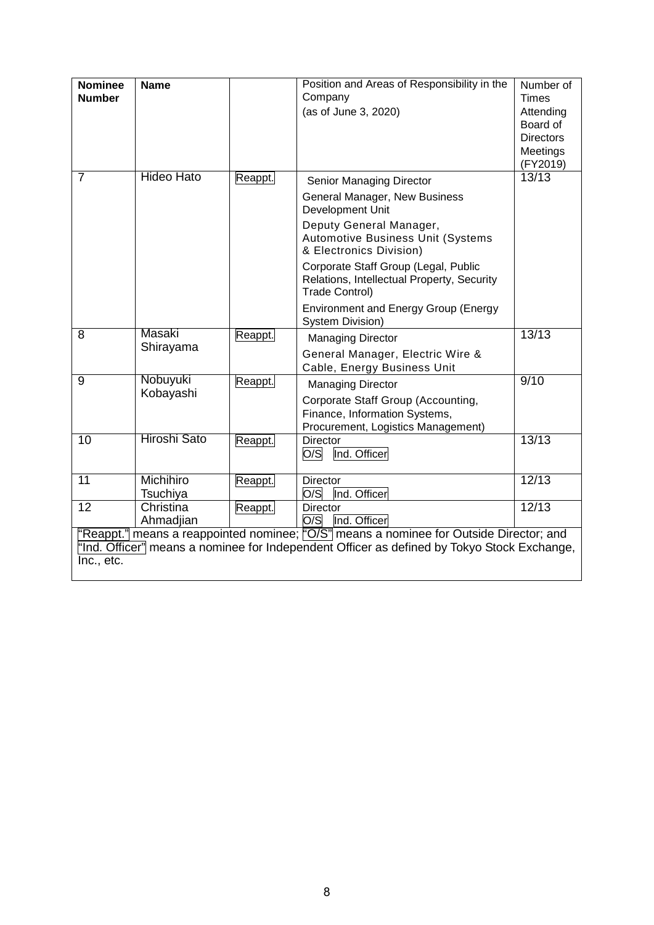| <b>Nominee</b><br><b>Number</b>                                                                                                                                                                    | <b>Name</b>                  |         | Position and Areas of Responsibility in the<br>Company<br>(as of June 3, 2020)                                                        | Number of<br><b>Times</b><br>Attending<br>Board of<br><b>Directors</b><br>Meetings |
|----------------------------------------------------------------------------------------------------------------------------------------------------------------------------------------------------|------------------------------|---------|---------------------------------------------------------------------------------------------------------------------------------------|------------------------------------------------------------------------------------|
| $\overline{7}$                                                                                                                                                                                     | <b>Hideo Hato</b>            | Reappt. | Senior Managing Director                                                                                                              | (FY2019)<br>13/13                                                                  |
|                                                                                                                                                                                                    |                              |         | General Manager, New Business<br>Development Unit                                                                                     |                                                                                    |
|                                                                                                                                                                                                    |                              |         | Deputy General Manager,<br>Automotive Business Unit (Systems<br>& Electronics Division)                                               |                                                                                    |
|                                                                                                                                                                                                    |                              |         | Corporate Staff Group (Legal, Public<br>Relations, Intellectual Property, Security<br><b>Trade Control)</b>                           |                                                                                    |
|                                                                                                                                                                                                    |                              |         | <b>Environment and Energy Group (Energy</b><br>System Division)                                                                       |                                                                                    |
| 8                                                                                                                                                                                                  | Masaki<br>Shirayama          | Reappt. | <b>Managing Director</b><br>General Manager, Electric Wire &<br>Cable, Energy Business Unit                                           | 13/13                                                                              |
| 9                                                                                                                                                                                                  | Nobuyuki<br>Kobayashi        | Reappt. | <b>Managing Director</b><br>Corporate Staff Group (Accounting,<br>Finance, Information Systems,<br>Procurement, Logistics Management) | 9/10                                                                               |
| 10                                                                                                                                                                                                 | <b>Hiroshi Sato</b>          | Reappt. | <b>Director</b><br>O/S<br>Ind. Officer                                                                                                | 13/13                                                                              |
| $\overline{11}$                                                                                                                                                                                    | <b>Michihiro</b><br>Tsuchiya | Reappt. | <b>Director</b><br>O/S<br>Ind. Officer                                                                                                | 12/13                                                                              |
| $\overline{12}$                                                                                                                                                                                    | Christina<br>Ahmadjian       | Reappt. | <b>Director</b><br>O/S<br>Ind. Officer                                                                                                | 12/13                                                                              |
| "Reappt." means a reappointed nominee; "O/S" means a nominee for Outside Director; and<br>"Ind. Officer" means a nominee for Independent Officer as defined by Tokyo Stock Exchange,<br>Inc., etc. |                              |         |                                                                                                                                       |                                                                                    |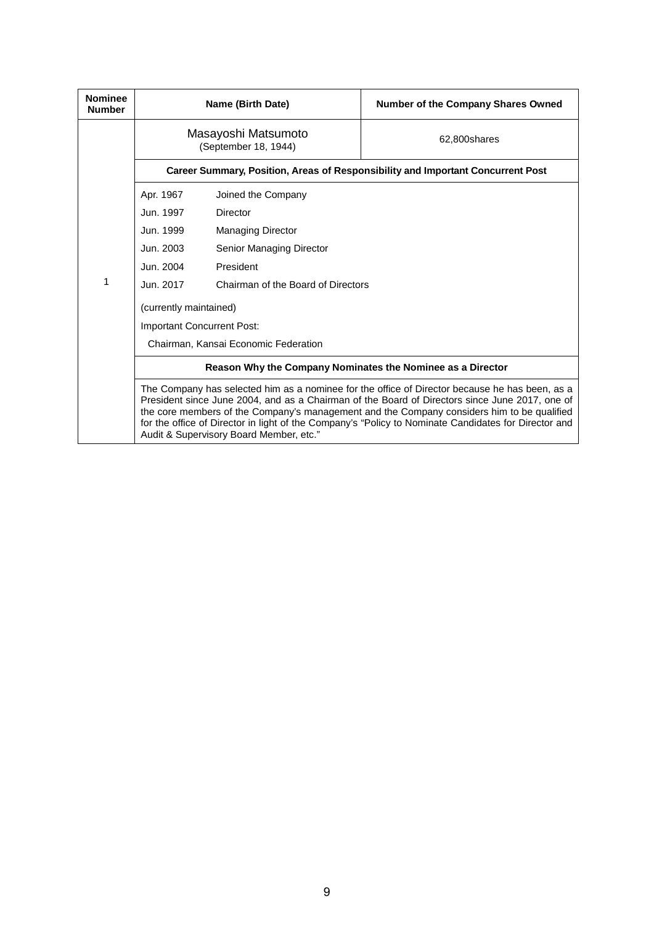| <b>Nominee</b><br><b>Number</b> |                                                                                                                                                                                                                                                                                                                                                                                                                                                   | Name (Birth Date)                                          | <b>Number of the Company Shares Owned</b>                                       |  |
|---------------------------------|---------------------------------------------------------------------------------------------------------------------------------------------------------------------------------------------------------------------------------------------------------------------------------------------------------------------------------------------------------------------------------------------------------------------------------------------------|------------------------------------------------------------|---------------------------------------------------------------------------------|--|
|                                 | Masayoshi Matsumoto<br>(September 18, 1944)                                                                                                                                                                                                                                                                                                                                                                                                       |                                                            | 62.800shares                                                                    |  |
|                                 |                                                                                                                                                                                                                                                                                                                                                                                                                                                   |                                                            | Career Summary, Position, Areas of Responsibility and Important Concurrent Post |  |
|                                 | Apr. 1967                                                                                                                                                                                                                                                                                                                                                                                                                                         | Joined the Company                                         |                                                                                 |  |
|                                 | Jun. 1997                                                                                                                                                                                                                                                                                                                                                                                                                                         | Director                                                   |                                                                                 |  |
|                                 | Jun. 1999                                                                                                                                                                                                                                                                                                                                                                                                                                         | <b>Managing Director</b>                                   |                                                                                 |  |
|                                 | Jun. 2003                                                                                                                                                                                                                                                                                                                                                                                                                                         | Senior Managing Director                                   |                                                                                 |  |
|                                 | Jun. 2004                                                                                                                                                                                                                                                                                                                                                                                                                                         | President                                                  |                                                                                 |  |
| 1                               | Jun. 2017                                                                                                                                                                                                                                                                                                                                                                                                                                         | Chairman of the Board of Directors                         |                                                                                 |  |
|                                 | (currently maintained)                                                                                                                                                                                                                                                                                                                                                                                                                            |                                                            |                                                                                 |  |
|                                 | Important Concurrent Post:                                                                                                                                                                                                                                                                                                                                                                                                                        |                                                            |                                                                                 |  |
|                                 |                                                                                                                                                                                                                                                                                                                                                                                                                                                   | Chairman, Kansai Economic Federation                       |                                                                                 |  |
|                                 |                                                                                                                                                                                                                                                                                                                                                                                                                                                   | Reason Why the Company Nominates the Nominee as a Director |                                                                                 |  |
|                                 | The Company has selected him as a nominee for the office of Director because he has been, as a<br>President since June 2004, and as a Chairman of the Board of Directors since June 2017, one of<br>the core members of the Company's management and the Company considers him to be qualified<br>for the office of Director in light of the Company's "Policy to Nominate Candidates for Director and<br>Audit & Supervisory Board Member, etc." |                                                            |                                                                                 |  |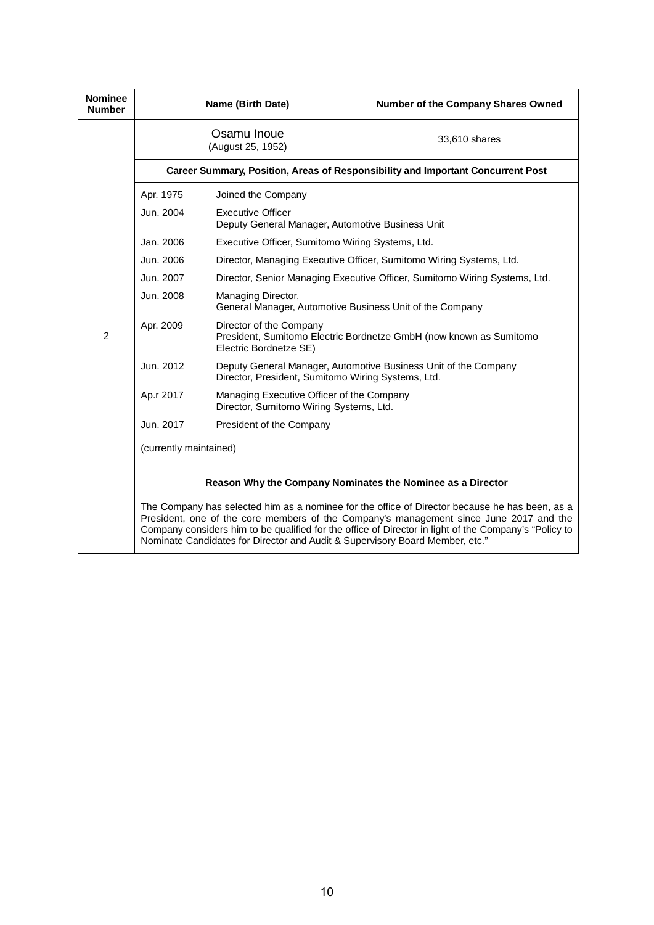| <b>Nominee</b><br><b>Number</b>                            |                                                                                                                                                                                                                                                                                                                                                                                   | Name (Birth Date)                                                                                                       | Number of the Company Shares Owned                                         |
|------------------------------------------------------------|-----------------------------------------------------------------------------------------------------------------------------------------------------------------------------------------------------------------------------------------------------------------------------------------------------------------------------------------------------------------------------------|-------------------------------------------------------------------------------------------------------------------------|----------------------------------------------------------------------------|
|                                                            |                                                                                                                                                                                                                                                                                                                                                                                   | Osamu Inoue<br>(August 25, 1952)                                                                                        | 33,610 shares                                                              |
|                                                            | Career Summary, Position, Areas of Responsibility and Important Concurrent Post                                                                                                                                                                                                                                                                                                   |                                                                                                                         |                                                                            |
|                                                            | Apr. 1975                                                                                                                                                                                                                                                                                                                                                                         | Joined the Company                                                                                                      |                                                                            |
| Jun. 2004<br><b>Executive Officer</b>                      |                                                                                                                                                                                                                                                                                                                                                                                   | Deputy General Manager, Automotive Business Unit                                                                        |                                                                            |
|                                                            | Jan. 2006                                                                                                                                                                                                                                                                                                                                                                         | Executive Officer, Sumitomo Wiring Systems, Ltd.                                                                        |                                                                            |
|                                                            | Jun. 2006                                                                                                                                                                                                                                                                                                                                                                         |                                                                                                                         | Director, Managing Executive Officer, Sumitomo Wiring Systems, Ltd.        |
|                                                            | Jun. 2007                                                                                                                                                                                                                                                                                                                                                                         |                                                                                                                         | Director, Senior Managing Executive Officer, Sumitomo Wiring Systems, Ltd. |
|                                                            | Jun. 2008                                                                                                                                                                                                                                                                                                                                                                         | Managing Director,<br>General Manager, Automotive Business Unit of the Company                                          |                                                                            |
| $\overline{2}$                                             | Apr. 2009                                                                                                                                                                                                                                                                                                                                                                         | Director of the Company<br>President, Sumitomo Electric Bordnetze GmbH (now known as Sumitomo<br>Electric Bordnetze SE) |                                                                            |
|                                                            | Jun. 2012                                                                                                                                                                                                                                                                                                                                                                         | Deputy General Manager, Automotive Business Unit of the Company<br>Director, President, Sumitomo Wiring Systems, Ltd.   |                                                                            |
|                                                            | Ap.r 2017                                                                                                                                                                                                                                                                                                                                                                         | Managing Executive Officer of the Company<br>Director, Sumitomo Wiring Systems, Ltd.                                    |                                                                            |
|                                                            | Jun. 2017                                                                                                                                                                                                                                                                                                                                                                         | President of the Company                                                                                                |                                                                            |
|                                                            | (currently maintained)                                                                                                                                                                                                                                                                                                                                                            |                                                                                                                         |                                                                            |
| Reason Why the Company Nominates the Nominee as a Director |                                                                                                                                                                                                                                                                                                                                                                                   |                                                                                                                         |                                                                            |
|                                                            | The Company has selected him as a nominee for the office of Director because he has been, as a<br>President, one of the core members of the Company's management since June 2017 and the<br>Company considers him to be qualified for the office of Director in light of the Company's "Policy to<br>Nominate Candidates for Director and Audit & Supervisory Board Member, etc." |                                                                                                                         |                                                                            |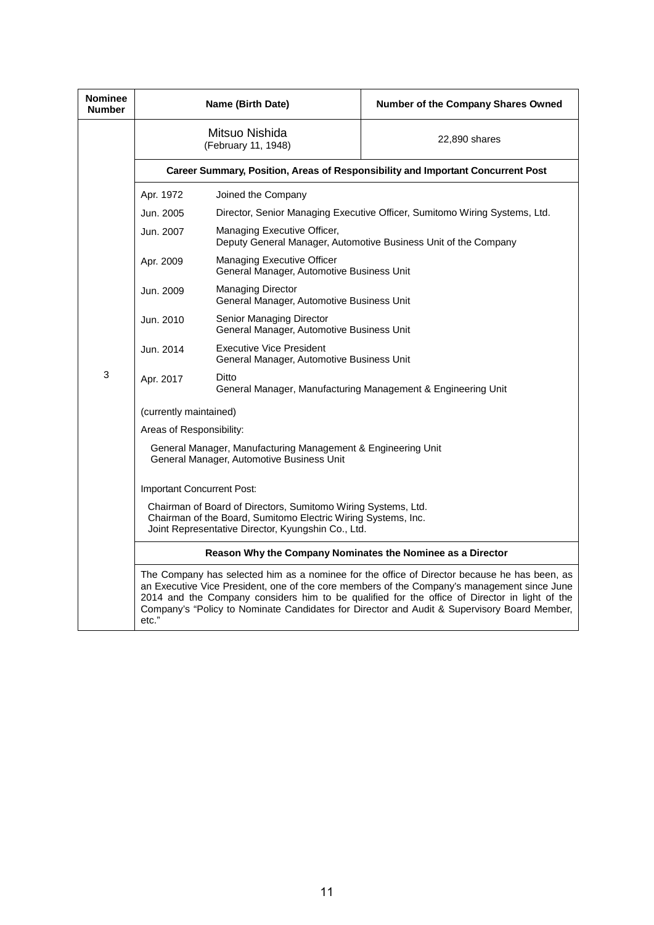| <b>Nominee</b><br><b>Number</b> | Name (Birth Date)                                                                                                                                                                    |                                                                              | Number of the Company Shares Owned                                                                                                                                                                                                                                                                                                                                                          |  |
|---------------------------------|--------------------------------------------------------------------------------------------------------------------------------------------------------------------------------------|------------------------------------------------------------------------------|---------------------------------------------------------------------------------------------------------------------------------------------------------------------------------------------------------------------------------------------------------------------------------------------------------------------------------------------------------------------------------------------|--|
|                                 |                                                                                                                                                                                      | Mitsuo Nishida<br>(February 11, 1948)                                        | 22,890 shares                                                                                                                                                                                                                                                                                                                                                                               |  |
|                                 |                                                                                                                                                                                      |                                                                              | Career Summary, Position, Areas of Responsibility and Important Concurrent Post                                                                                                                                                                                                                                                                                                             |  |
|                                 | Apr. 1972                                                                                                                                                                            | Joined the Company                                                           |                                                                                                                                                                                                                                                                                                                                                                                             |  |
|                                 | Jun. 2005                                                                                                                                                                            | Director, Senior Managing Executive Officer, Sumitomo Wiring Systems, Ltd.   |                                                                                                                                                                                                                                                                                                                                                                                             |  |
|                                 | Jun. 2007                                                                                                                                                                            | Managing Executive Officer,                                                  | Deputy General Manager, Automotive Business Unit of the Company                                                                                                                                                                                                                                                                                                                             |  |
|                                 | Apr. 2009                                                                                                                                                                            | Managing Executive Officer<br>General Manager, Automotive Business Unit      |                                                                                                                                                                                                                                                                                                                                                                                             |  |
|                                 | Jun. 2009                                                                                                                                                                            | <b>Managing Director</b><br>General Manager, Automotive Business Unit        |                                                                                                                                                                                                                                                                                                                                                                                             |  |
|                                 | Jun. 2010                                                                                                                                                                            | Senior Managing Director<br>General Manager, Automotive Business Unit        |                                                                                                                                                                                                                                                                                                                                                                                             |  |
|                                 | Jun. 2014                                                                                                                                                                            | <b>Executive Vice President</b><br>General Manager, Automotive Business Unit |                                                                                                                                                                                                                                                                                                                                                                                             |  |
| 3                               | Ditto<br>Apr. 2017<br>General Manager, Manufacturing Management & Engineering Unit                                                                                                   |                                                                              |                                                                                                                                                                                                                                                                                                                                                                                             |  |
|                                 | (currently maintained)                                                                                                                                                               |                                                                              |                                                                                                                                                                                                                                                                                                                                                                                             |  |
|                                 | Areas of Responsibility:                                                                                                                                                             |                                                                              |                                                                                                                                                                                                                                                                                                                                                                                             |  |
|                                 | General Manager, Manufacturing Management & Engineering Unit<br>General Manager, Automotive Business Unit                                                                            |                                                                              |                                                                                                                                                                                                                                                                                                                                                                                             |  |
|                                 | Important Concurrent Post:                                                                                                                                                           |                                                                              |                                                                                                                                                                                                                                                                                                                                                                                             |  |
|                                 | Chairman of Board of Directors, Sumitomo Wiring Systems, Ltd.<br>Chairman of the Board, Sumitomo Electric Wiring Systems, Inc.<br>Joint Representative Director, Kyungshin Co., Ltd. |                                                                              |                                                                                                                                                                                                                                                                                                                                                                                             |  |
|                                 |                                                                                                                                                                                      | Reason Why the Company Nominates the Nominee as a Director                   |                                                                                                                                                                                                                                                                                                                                                                                             |  |
|                                 | etc."                                                                                                                                                                                |                                                                              | The Company has selected him as a nominee for the office of Director because he has been, as<br>an Executive Vice President, one of the core members of the Company's management since June<br>2014 and the Company considers him to be qualified for the office of Director in light of the<br>Company's "Policy to Nominate Candidates for Director and Audit & Supervisory Board Member, |  |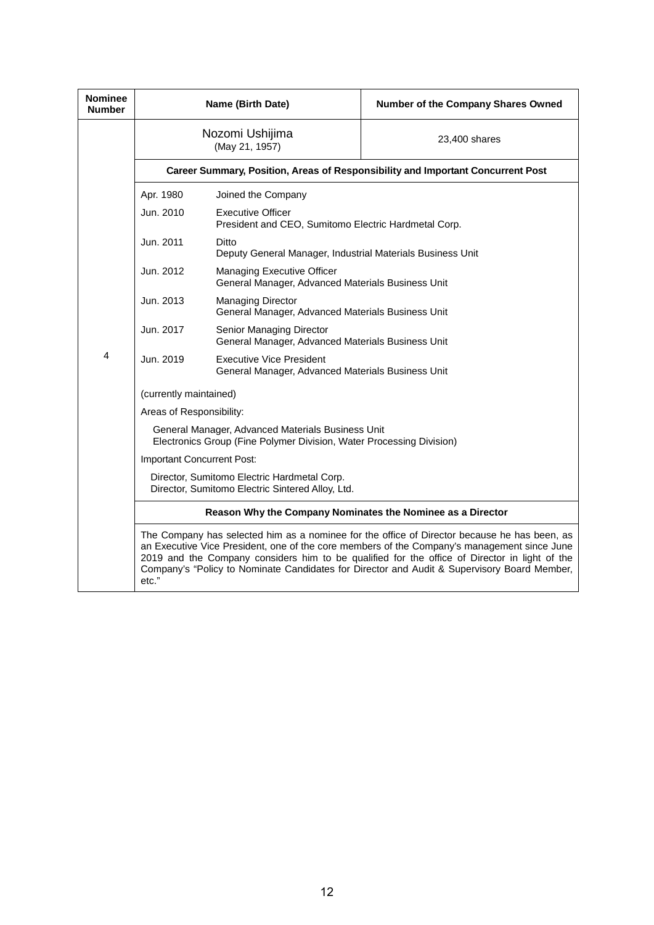| <b>Nominee</b><br><b>Number</b> |                                                                                                                                                                                                                                                                                                                                                                                                      | Name (Birth Date)                                                                    | Number of the Company Shares Owned                                              |  |
|---------------------------------|------------------------------------------------------------------------------------------------------------------------------------------------------------------------------------------------------------------------------------------------------------------------------------------------------------------------------------------------------------------------------------------------------|--------------------------------------------------------------------------------------|---------------------------------------------------------------------------------|--|
|                                 |                                                                                                                                                                                                                                                                                                                                                                                                      | Nozomi Ushijima<br>(May 21, 1957)                                                    | 23,400 shares                                                                   |  |
|                                 |                                                                                                                                                                                                                                                                                                                                                                                                      |                                                                                      | Career Summary, Position, Areas of Responsibility and Important Concurrent Post |  |
|                                 | Apr. 1980                                                                                                                                                                                                                                                                                                                                                                                            | Joined the Company                                                                   |                                                                                 |  |
|                                 | Jun. 2010                                                                                                                                                                                                                                                                                                                                                                                            | <b>Executive Officer</b><br>President and CEO, Sumitomo Electric Hardmetal Corp.     |                                                                                 |  |
|                                 | Jun. 2011                                                                                                                                                                                                                                                                                                                                                                                            | Ditto<br>Deputy General Manager, Industrial Materials Business Unit                  |                                                                                 |  |
|                                 | Jun. 2012                                                                                                                                                                                                                                                                                                                                                                                            | Managing Executive Officer<br>General Manager, Advanced Materials Business Unit      |                                                                                 |  |
|                                 | Jun. 2013                                                                                                                                                                                                                                                                                                                                                                                            | <b>Managing Director</b><br>General Manager, Advanced Materials Business Unit        |                                                                                 |  |
|                                 | Jun. 2017                                                                                                                                                                                                                                                                                                                                                                                            | Senior Managing Director<br>General Manager, Advanced Materials Business Unit        |                                                                                 |  |
| 4                               | Jun. 2019                                                                                                                                                                                                                                                                                                                                                                                            | <b>Executive Vice President</b><br>General Manager, Advanced Materials Business Unit |                                                                                 |  |
|                                 | (currently maintained)                                                                                                                                                                                                                                                                                                                                                                               |                                                                                      |                                                                                 |  |
|                                 | Areas of Responsibility:                                                                                                                                                                                                                                                                                                                                                                             |                                                                                      |                                                                                 |  |
|                                 | General Manager, Advanced Materials Business Unit<br>Electronics Group (Fine Polymer Division, Water Processing Division)                                                                                                                                                                                                                                                                            |                                                                                      |                                                                                 |  |
|                                 | Important Concurrent Post:                                                                                                                                                                                                                                                                                                                                                                           |                                                                                      |                                                                                 |  |
|                                 | Director, Sumitomo Electric Hardmetal Corp.<br>Director, Sumitomo Electric Sintered Alloy, Ltd.                                                                                                                                                                                                                                                                                                      |                                                                                      |                                                                                 |  |
|                                 | Reason Why the Company Nominates the Nominee as a Director                                                                                                                                                                                                                                                                                                                                           |                                                                                      |                                                                                 |  |
|                                 | The Company has selected him as a nominee for the office of Director because he has been, as<br>an Executive Vice President, one of the core members of the Company's management since June<br>2019 and the Company considers him to be qualified for the office of Director in light of the<br>Company's "Policy to Nominate Candidates for Director and Audit & Supervisory Board Member,<br>etc." |                                                                                      |                                                                                 |  |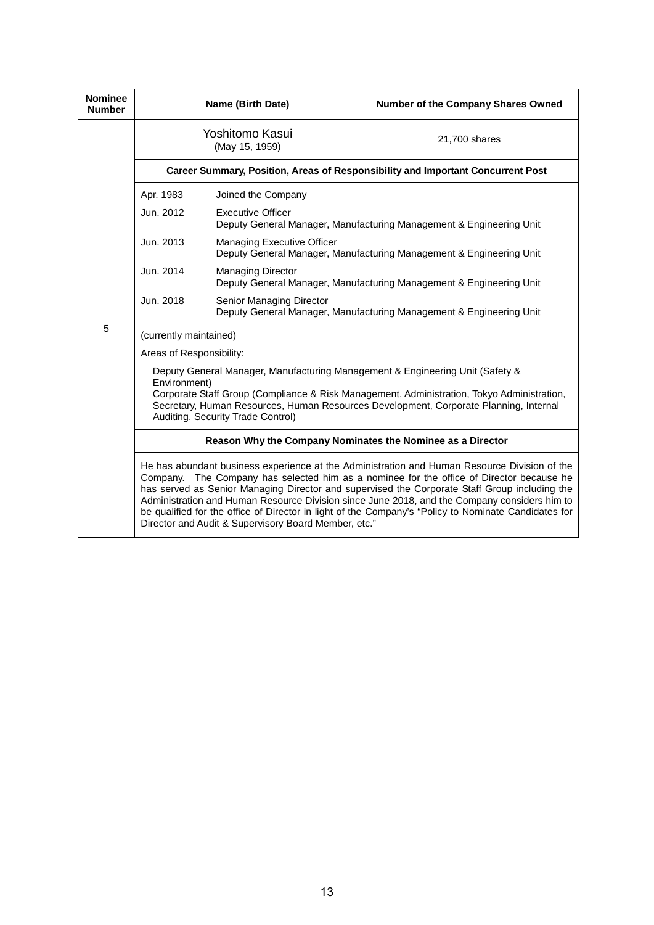| <b>Nominee</b><br><b>Number</b>                                                                                                                                                                                                                                                                                           |                                                                                                                                                                                                                                                                                                                                                                                                                                                                                                                                                              | Name (Birth Date)                                                                               | Number of the Company Shares Owned                                              |  |
|---------------------------------------------------------------------------------------------------------------------------------------------------------------------------------------------------------------------------------------------------------------------------------------------------------------------------|--------------------------------------------------------------------------------------------------------------------------------------------------------------------------------------------------------------------------------------------------------------------------------------------------------------------------------------------------------------------------------------------------------------------------------------------------------------------------------------------------------------------------------------------------------------|-------------------------------------------------------------------------------------------------|---------------------------------------------------------------------------------|--|
|                                                                                                                                                                                                                                                                                                                           |                                                                                                                                                                                                                                                                                                                                                                                                                                                                                                                                                              | Yoshitomo Kasui<br>(May 15, 1959)                                                               | 21,700 shares                                                                   |  |
|                                                                                                                                                                                                                                                                                                                           |                                                                                                                                                                                                                                                                                                                                                                                                                                                                                                                                                              |                                                                                                 | Career Summary, Position, Areas of Responsibility and Important Concurrent Post |  |
|                                                                                                                                                                                                                                                                                                                           | Apr. 1983                                                                                                                                                                                                                                                                                                                                                                                                                                                                                                                                                    | Joined the Company                                                                              |                                                                                 |  |
|                                                                                                                                                                                                                                                                                                                           | Jun. 2012                                                                                                                                                                                                                                                                                                                                                                                                                                                                                                                                                    | <b>Executive Officer</b>                                                                        | Deputy General Manager, Manufacturing Management & Engineering Unit             |  |
|                                                                                                                                                                                                                                                                                                                           | Jun. 2013                                                                                                                                                                                                                                                                                                                                                                                                                                                                                                                                                    | <b>Managing Executive Officer</b>                                                               | Deputy General Manager, Manufacturing Management & Engineering Unit             |  |
|                                                                                                                                                                                                                                                                                                                           | Jun. 2014                                                                                                                                                                                                                                                                                                                                                                                                                                                                                                                                                    | <b>Managing Director</b><br>Deputy General Manager, Manufacturing Management & Engineering Unit |                                                                                 |  |
|                                                                                                                                                                                                                                                                                                                           | Jun. 2018                                                                                                                                                                                                                                                                                                                                                                                                                                                                                                                                                    | Senior Managing Director<br>Deputy General Manager, Manufacturing Management & Engineering Unit |                                                                                 |  |
| 5                                                                                                                                                                                                                                                                                                                         | (currently maintained)                                                                                                                                                                                                                                                                                                                                                                                                                                                                                                                                       |                                                                                                 |                                                                                 |  |
|                                                                                                                                                                                                                                                                                                                           | Areas of Responsibility:                                                                                                                                                                                                                                                                                                                                                                                                                                                                                                                                     |                                                                                                 |                                                                                 |  |
| Deputy General Manager, Manufacturing Management & Engineering Unit (Safety &<br>Environment)<br>Corporate Staff Group (Compliance & Risk Management, Administration, Tokyo Administration,<br>Secretary, Human Resources, Human Resources Development, Corporate Planning, Internal<br>Auditing, Security Trade Control) |                                                                                                                                                                                                                                                                                                                                                                                                                                                                                                                                                              |                                                                                                 |                                                                                 |  |
|                                                                                                                                                                                                                                                                                                                           |                                                                                                                                                                                                                                                                                                                                                                                                                                                                                                                                                              | Reason Why the Company Nominates the Nominee as a Director                                      |                                                                                 |  |
|                                                                                                                                                                                                                                                                                                                           | He has abundant business experience at the Administration and Human Resource Division of the<br>The Company has selected him as a nominee for the office of Director because he<br>Company.<br>has served as Senior Managing Director and supervised the Corporate Staff Group including the<br>Administration and Human Resource Division since June 2018, and the Company considers him to<br>be qualified for the office of Director in light of the Company's "Policy to Nominate Candidates for<br>Director and Audit & Supervisory Board Member, etc." |                                                                                                 |                                                                                 |  |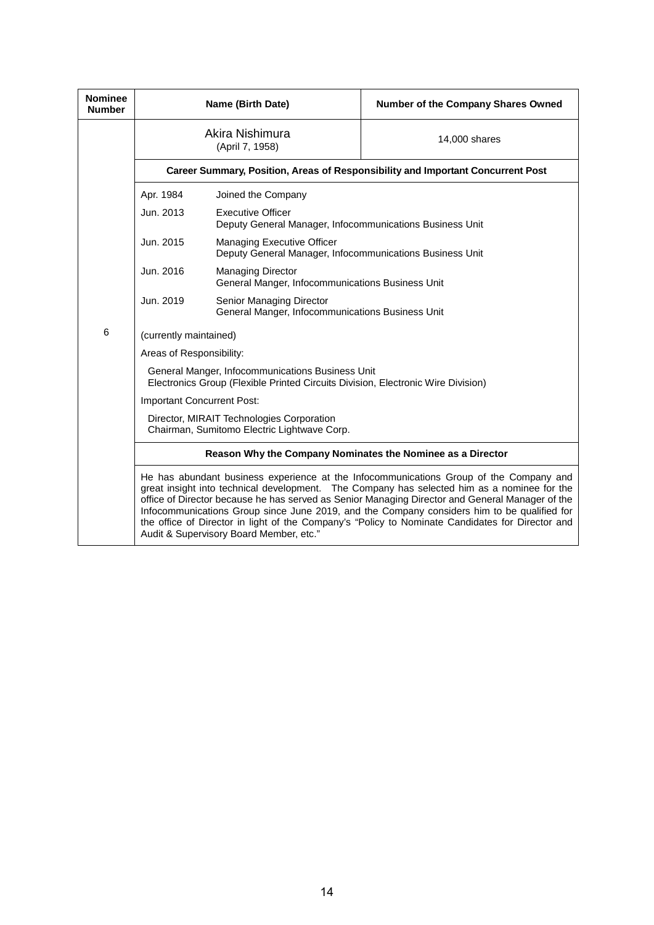| <b>Nominee</b><br><b>Number</b> |                                                                                                                                                                                                                                                                                                                                                                                                                                                                                                                                                                                                      | Name (Birth Date)                                                                        | Number of the Company Shares Owned                                              |  |
|---------------------------------|------------------------------------------------------------------------------------------------------------------------------------------------------------------------------------------------------------------------------------------------------------------------------------------------------------------------------------------------------------------------------------------------------------------------------------------------------------------------------------------------------------------------------------------------------------------------------------------------------|------------------------------------------------------------------------------------------|---------------------------------------------------------------------------------|--|
|                                 |                                                                                                                                                                                                                                                                                                                                                                                                                                                                                                                                                                                                      | Akira Nishimura<br>(April 7, 1958)                                                       | 14,000 shares                                                                   |  |
|                                 |                                                                                                                                                                                                                                                                                                                                                                                                                                                                                                                                                                                                      |                                                                                          | Career Summary, Position, Areas of Responsibility and Important Concurrent Post |  |
|                                 | Apr. 1984                                                                                                                                                                                                                                                                                                                                                                                                                                                                                                                                                                                            | Joined the Company                                                                       |                                                                                 |  |
|                                 | Jun. 2013                                                                                                                                                                                                                                                                                                                                                                                                                                                                                                                                                                                            | <b>Executive Officer</b><br>Deputy General Manager, Infocommunications Business Unit     |                                                                                 |  |
|                                 | Jun. 2015                                                                                                                                                                                                                                                                                                                                                                                                                                                                                                                                                                                            | Managing Executive Officer<br>Deputy General Manager, Infocommunications Business Unit   |                                                                                 |  |
|                                 | Jun. 2016                                                                                                                                                                                                                                                                                                                                                                                                                                                                                                                                                                                            | <b>Managing Director</b><br>General Manger, Infocommunications Business Unit             |                                                                                 |  |
|                                 | Jun. 2019                                                                                                                                                                                                                                                                                                                                                                                                                                                                                                                                                                                            | Senior Managing Director<br>General Manger, Infocommunications Business Unit             |                                                                                 |  |
| 6                               | (currently maintained)<br>Areas of Responsibility:<br>General Manger, Infocommunications Business Unit<br>Electronics Group (Flexible Printed Circuits Division, Electronic Wire Division)                                                                                                                                                                                                                                                                                                                                                                                                           |                                                                                          |                                                                                 |  |
|                                 |                                                                                                                                                                                                                                                                                                                                                                                                                                                                                                                                                                                                      |                                                                                          |                                                                                 |  |
|                                 |                                                                                                                                                                                                                                                                                                                                                                                                                                                                                                                                                                                                      |                                                                                          |                                                                                 |  |
|                                 | Important Concurrent Post:                                                                                                                                                                                                                                                                                                                                                                                                                                                                                                                                                                           |                                                                                          |                                                                                 |  |
|                                 |                                                                                                                                                                                                                                                                                                                                                                                                                                                                                                                                                                                                      | Director, MIRAIT Technologies Corporation<br>Chairman, Sumitomo Electric Lightwave Corp. |                                                                                 |  |
|                                 | Reason Why the Company Nominates the Nominee as a Director<br>He has abundant business experience at the Infocommunications Group of the Company and<br>great insight into technical development. The Company has selected him as a nominee for the<br>office of Director because he has served as Senior Managing Director and General Manager of the<br>Infocommunications Group since June 2019, and the Company considers him to be qualified for<br>the office of Director in light of the Company's "Policy to Nominate Candidates for Director and<br>Audit & Supervisory Board Member, etc." |                                                                                          |                                                                                 |  |
|                                 |                                                                                                                                                                                                                                                                                                                                                                                                                                                                                                                                                                                                      |                                                                                          |                                                                                 |  |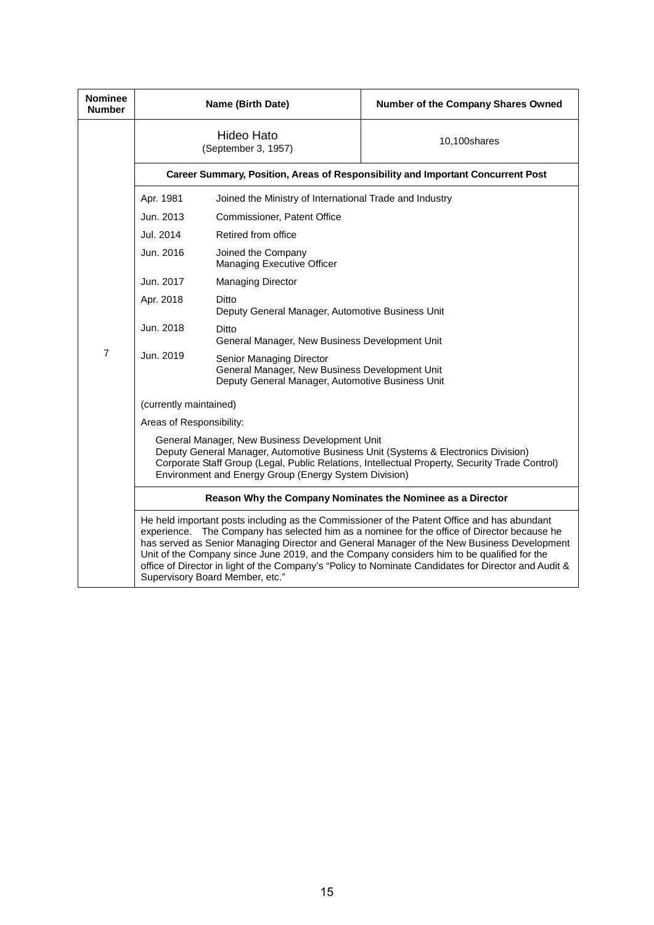| <b>Nominee</b><br><b>Number</b> |                                                                                                                                                                                                                                                                                                                                                                                                                                                                                                                                   | Name (Birth Date)                                                                                                              | Number of the Company Shares Owned                                              |  |
|---------------------------------|-----------------------------------------------------------------------------------------------------------------------------------------------------------------------------------------------------------------------------------------------------------------------------------------------------------------------------------------------------------------------------------------------------------------------------------------------------------------------------------------------------------------------------------|--------------------------------------------------------------------------------------------------------------------------------|---------------------------------------------------------------------------------|--|
|                                 |                                                                                                                                                                                                                                                                                                                                                                                                                                                                                                                                   | <b>Hideo Hato</b><br>(September 3, 1957)                                                                                       | 10,100shares                                                                    |  |
|                                 |                                                                                                                                                                                                                                                                                                                                                                                                                                                                                                                                   |                                                                                                                                | Career Summary, Position, Areas of Responsibility and Important Concurrent Post |  |
|                                 | Apr. 1981                                                                                                                                                                                                                                                                                                                                                                                                                                                                                                                         | Joined the Ministry of International Trade and Industry                                                                        |                                                                                 |  |
|                                 | Jun. 2013                                                                                                                                                                                                                                                                                                                                                                                                                                                                                                                         | Commissioner, Patent Office                                                                                                    |                                                                                 |  |
|                                 | Jul. 2014                                                                                                                                                                                                                                                                                                                                                                                                                                                                                                                         | Retired from office                                                                                                            |                                                                                 |  |
|                                 | Jun. 2016                                                                                                                                                                                                                                                                                                                                                                                                                                                                                                                         | Joined the Company<br>Managing Executive Officer                                                                               |                                                                                 |  |
|                                 | Jun. 2017                                                                                                                                                                                                                                                                                                                                                                                                                                                                                                                         | <b>Managing Director</b>                                                                                                       |                                                                                 |  |
|                                 | Apr. 2018                                                                                                                                                                                                                                                                                                                                                                                                                                                                                                                         | Ditto<br>Deputy General Manager, Automotive Business Unit                                                                      |                                                                                 |  |
|                                 | Jun. 2018                                                                                                                                                                                                                                                                                                                                                                                                                                                                                                                         | Ditto<br>General Manager, New Business Development Unit                                                                        |                                                                                 |  |
| $\overline{7}$                  | Jun. 2019                                                                                                                                                                                                                                                                                                                                                                                                                                                                                                                         | Senior Managing Director<br>General Manager, New Business Development Unit<br>Deputy General Manager, Automotive Business Unit |                                                                                 |  |
|                                 | (currently maintained)                                                                                                                                                                                                                                                                                                                                                                                                                                                                                                            |                                                                                                                                |                                                                                 |  |
|                                 | Areas of Responsibility:                                                                                                                                                                                                                                                                                                                                                                                                                                                                                                          |                                                                                                                                |                                                                                 |  |
|                                 | General Manager, New Business Development Unit<br>Deputy General Manager, Automotive Business Unit (Systems & Electronics Division)<br>Corporate Staff Group (Legal, Public Relations, Intellectual Property, Security Trade Control)<br>Environment and Energy Group (Energy System Division)                                                                                                                                                                                                                                    |                                                                                                                                |                                                                                 |  |
|                                 | Reason Why the Company Nominates the Nominee as a Director                                                                                                                                                                                                                                                                                                                                                                                                                                                                        |                                                                                                                                |                                                                                 |  |
|                                 | He held important posts including as the Commissioner of the Patent Office and has abundant<br>experience. The Company has selected him as a nominee for the office of Director because he<br>has served as Senior Managing Director and General Manager of the New Business Development<br>Unit of the Company since June 2019, and the Company considers him to be qualified for the<br>office of Director in light of the Company's "Policy to Nominate Candidates for Director and Audit &<br>Supervisory Board Member, etc." |                                                                                                                                |                                                                                 |  |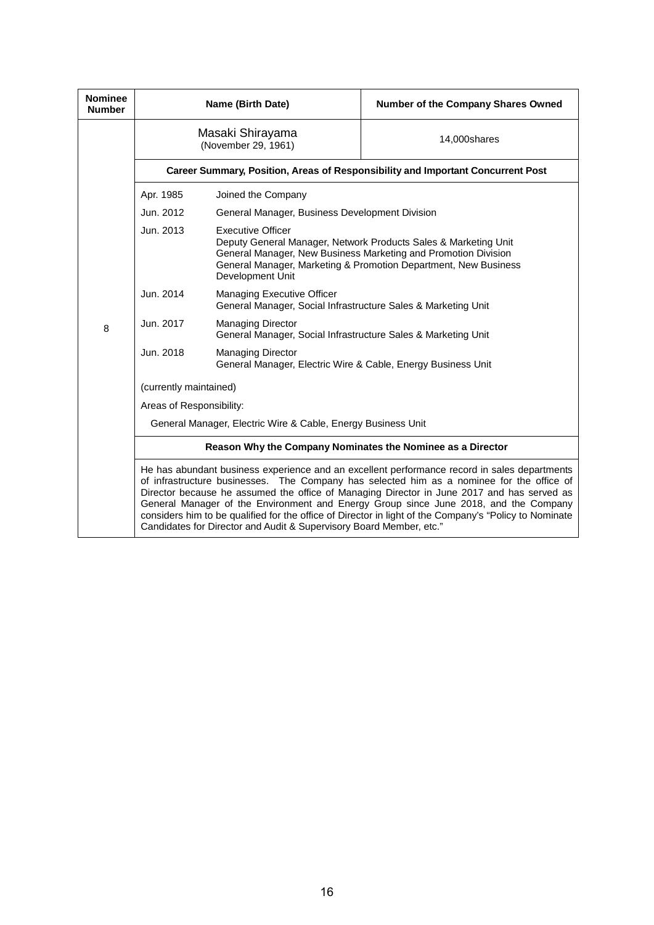| <b>Nominee</b><br><b>Number</b> | Name (Birth Date)                                                                                                                                                                                                                                                                                                                                                                                                                                                                                                                                                |                                                                                                                                                                                                                                                      | Number of the Company Shares Owned |
|---------------------------------|------------------------------------------------------------------------------------------------------------------------------------------------------------------------------------------------------------------------------------------------------------------------------------------------------------------------------------------------------------------------------------------------------------------------------------------------------------------------------------------------------------------------------------------------------------------|------------------------------------------------------------------------------------------------------------------------------------------------------------------------------------------------------------------------------------------------------|------------------------------------|
|                                 | Masaki Shirayama<br>(November 29, 1961)                                                                                                                                                                                                                                                                                                                                                                                                                                                                                                                          |                                                                                                                                                                                                                                                      | 14,000shares                       |
|                                 | Career Summary, Position, Areas of Responsibility and Important Concurrent Post                                                                                                                                                                                                                                                                                                                                                                                                                                                                                  |                                                                                                                                                                                                                                                      |                                    |
|                                 | Apr. 1985                                                                                                                                                                                                                                                                                                                                                                                                                                                                                                                                                        | Joined the Company                                                                                                                                                                                                                                   |                                    |
|                                 | Jun. 2012                                                                                                                                                                                                                                                                                                                                                                                                                                                                                                                                                        | General Manager, Business Development Division                                                                                                                                                                                                       |                                    |
| 8                               | Jun. 2013                                                                                                                                                                                                                                                                                                                                                                                                                                                                                                                                                        | <b>Executive Officer</b><br>Deputy General Manager, Network Products Sales & Marketing Unit<br>General Manager, New Business Marketing and Promotion Division<br>General Manager, Marketing & Promotion Department, New Business<br>Development Unit |                                    |
|                                 | Jun. 2014                                                                                                                                                                                                                                                                                                                                                                                                                                                                                                                                                        | Managing Executive Officer<br>General Manager, Social Infrastructure Sales & Marketing Unit                                                                                                                                                          |                                    |
|                                 | Jun. 2017                                                                                                                                                                                                                                                                                                                                                                                                                                                                                                                                                        | <b>Managing Director</b><br>General Manager, Social Infrastructure Sales & Marketing Unit                                                                                                                                                            |                                    |
|                                 | Jun. 2018                                                                                                                                                                                                                                                                                                                                                                                                                                                                                                                                                        | <b>Managing Director</b><br>General Manager, Electric Wire & Cable, Energy Business Unit                                                                                                                                                             |                                    |
|                                 | (currently maintained)                                                                                                                                                                                                                                                                                                                                                                                                                                                                                                                                           |                                                                                                                                                                                                                                                      |                                    |
|                                 | Areas of Responsibility:                                                                                                                                                                                                                                                                                                                                                                                                                                                                                                                                         |                                                                                                                                                                                                                                                      |                                    |
|                                 | General Manager, Electric Wire & Cable, Energy Business Unit                                                                                                                                                                                                                                                                                                                                                                                                                                                                                                     |                                                                                                                                                                                                                                                      |                                    |
|                                 | Reason Why the Company Nominates the Nominee as a Director                                                                                                                                                                                                                                                                                                                                                                                                                                                                                                       |                                                                                                                                                                                                                                                      |                                    |
|                                 | He has abundant business experience and an excellent performance record in sales departments<br>of infrastructure businesses. The Company has selected him as a nominee for the office of<br>Director because he assumed the office of Managing Director in June 2017 and has served as<br>General Manager of the Environment and Energy Group since June 2018, and the Company<br>considers him to be qualified for the office of Director in light of the Company's "Policy to Nominate<br>Candidates for Director and Audit & Supervisory Board Member, etc." |                                                                                                                                                                                                                                                      |                                    |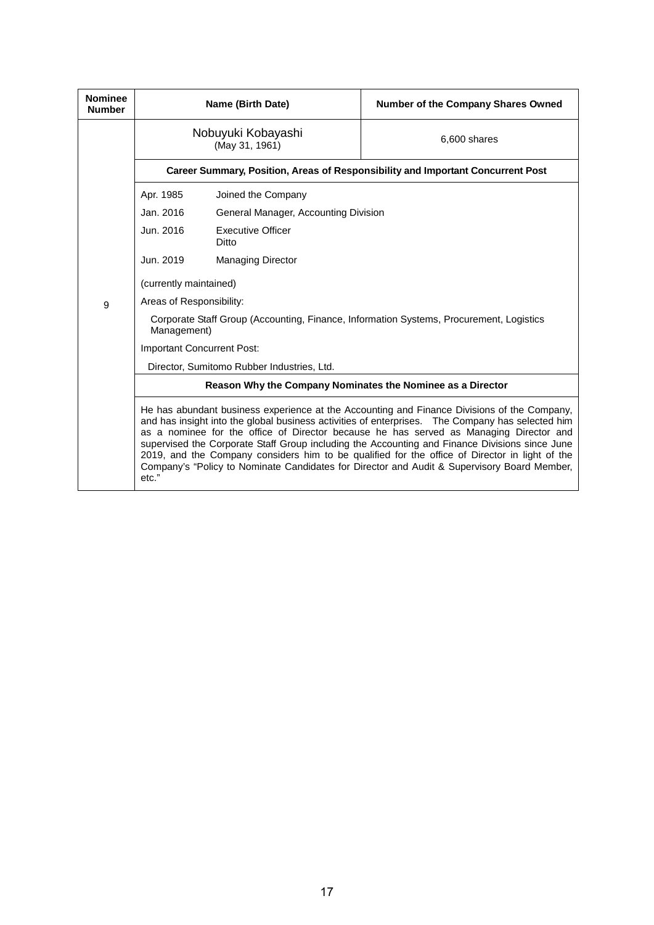| <b>Nominee</b><br><b>Number</b> |                                                                                                                                                                                                                                                                                                                                                                                                                                                                                                                                                                                                       | Name (Birth Date)                    | <b>Number of the Company Shares Owned</b> |  |
|---------------------------------|-------------------------------------------------------------------------------------------------------------------------------------------------------------------------------------------------------------------------------------------------------------------------------------------------------------------------------------------------------------------------------------------------------------------------------------------------------------------------------------------------------------------------------------------------------------------------------------------------------|--------------------------------------|-------------------------------------------|--|
|                                 | Nobuyuki Kobayashi<br>(May 31, 1961)                                                                                                                                                                                                                                                                                                                                                                                                                                                                                                                                                                  |                                      | 6,600 shares                              |  |
|                                 | Career Summary, Position, Areas of Responsibility and Important Concurrent Post                                                                                                                                                                                                                                                                                                                                                                                                                                                                                                                       |                                      |                                           |  |
|                                 | Apr. 1985                                                                                                                                                                                                                                                                                                                                                                                                                                                                                                                                                                                             | Joined the Company                   |                                           |  |
|                                 | Jan. 2016                                                                                                                                                                                                                                                                                                                                                                                                                                                                                                                                                                                             | General Manager, Accounting Division |                                           |  |
|                                 | Jun. 2016                                                                                                                                                                                                                                                                                                                                                                                                                                                                                                                                                                                             | <b>Executive Officer</b><br>Ditto    |                                           |  |
|                                 | Jun. 2019                                                                                                                                                                                                                                                                                                                                                                                                                                                                                                                                                                                             | <b>Managing Director</b>             |                                           |  |
|                                 | (currently maintained)                                                                                                                                                                                                                                                                                                                                                                                                                                                                                                                                                                                |                                      |                                           |  |
| 9                               | Areas of Responsibility:                                                                                                                                                                                                                                                                                                                                                                                                                                                                                                                                                                              |                                      |                                           |  |
|                                 | Corporate Staff Group (Accounting, Finance, Information Systems, Procurement, Logistics<br>Management)                                                                                                                                                                                                                                                                                                                                                                                                                                                                                                |                                      |                                           |  |
|                                 | Important Concurrent Post:                                                                                                                                                                                                                                                                                                                                                                                                                                                                                                                                                                            |                                      |                                           |  |
|                                 | Director, Sumitomo Rubber Industries, Ltd.                                                                                                                                                                                                                                                                                                                                                                                                                                                                                                                                                            |                                      |                                           |  |
|                                 | Reason Why the Company Nominates the Nominee as a Director                                                                                                                                                                                                                                                                                                                                                                                                                                                                                                                                            |                                      |                                           |  |
|                                 | He has abundant business experience at the Accounting and Finance Divisions of the Company,<br>and has insight into the global business activities of enterprises. The Company has selected him<br>as a nominee for the office of Director because he has served as Managing Director and<br>supervised the Corporate Staff Group including the Accounting and Finance Divisions since June<br>2019, and the Company considers him to be qualified for the office of Director in light of the<br>Company's "Policy to Nominate Candidates for Director and Audit & Supervisory Board Member,<br>etc." |                                      |                                           |  |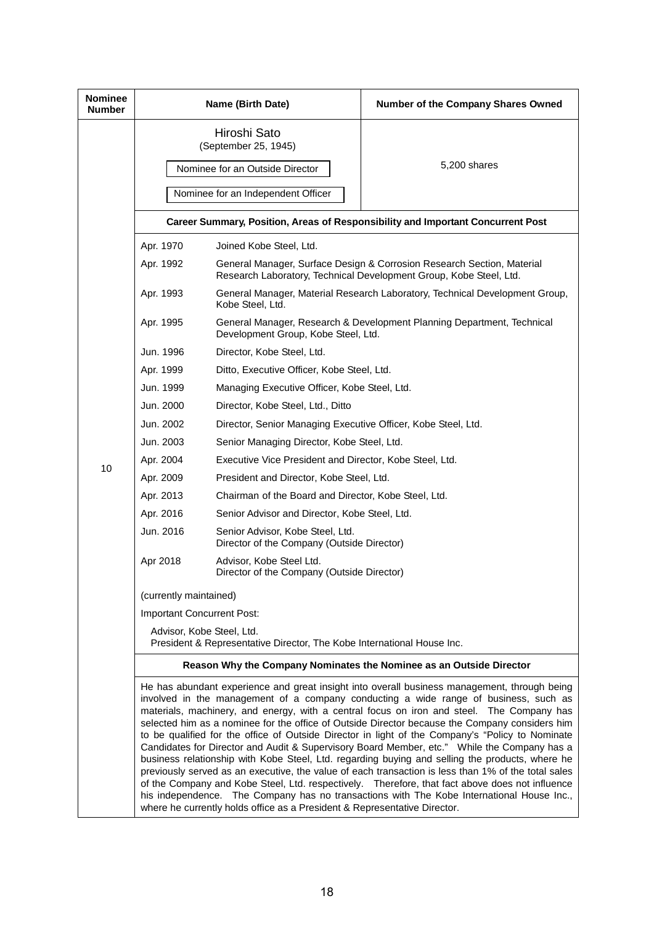| <b>Nominee</b><br><b>Number</b> | Name (Birth Date)                                                                                                                                                                                                                                                                                                                                                                                                                                                                                                                                                                                                                                                                                                                                                                                                                                                                                                                                                                                                                                                             |                                                                                | Number of the Company Shares Owned                                                                                                           |  |  |
|---------------------------------|-------------------------------------------------------------------------------------------------------------------------------------------------------------------------------------------------------------------------------------------------------------------------------------------------------------------------------------------------------------------------------------------------------------------------------------------------------------------------------------------------------------------------------------------------------------------------------------------------------------------------------------------------------------------------------------------------------------------------------------------------------------------------------------------------------------------------------------------------------------------------------------------------------------------------------------------------------------------------------------------------------------------------------------------------------------------------------|--------------------------------------------------------------------------------|----------------------------------------------------------------------------------------------------------------------------------------------|--|--|
|                                 | Hiroshi Sato<br>(September 25, 1945)<br>Nominee for an Outside Director                                                                                                                                                                                                                                                                                                                                                                                                                                                                                                                                                                                                                                                                                                                                                                                                                                                                                                                                                                                                       |                                                                                | 5,200 shares                                                                                                                                 |  |  |
|                                 |                                                                                                                                                                                                                                                                                                                                                                                                                                                                                                                                                                                                                                                                                                                                                                                                                                                                                                                                                                                                                                                                               | Nominee for an Independent Officer                                             |                                                                                                                                              |  |  |
|                                 | Career Summary, Position, Areas of Responsibility and Important Concurrent Post                                                                                                                                                                                                                                                                                                                                                                                                                                                                                                                                                                                                                                                                                                                                                                                                                                                                                                                                                                                               |                                                                                |                                                                                                                                              |  |  |
|                                 | Apr. 1970                                                                                                                                                                                                                                                                                                                                                                                                                                                                                                                                                                                                                                                                                                                                                                                                                                                                                                                                                                                                                                                                     | Joined Kobe Steel, Ltd.                                                        |                                                                                                                                              |  |  |
|                                 | Apr. 1992                                                                                                                                                                                                                                                                                                                                                                                                                                                                                                                                                                                                                                                                                                                                                                                                                                                                                                                                                                                                                                                                     |                                                                                | General Manager, Surface Design & Corrosion Research Section, Material<br>Research Laboratory, Technical Development Group, Kobe Steel, Ltd. |  |  |
|                                 | Apr. 1993                                                                                                                                                                                                                                                                                                                                                                                                                                                                                                                                                                                                                                                                                                                                                                                                                                                                                                                                                                                                                                                                     | Kobe Steel, Ltd.                                                               | General Manager, Material Research Laboratory, Technical Development Group,                                                                  |  |  |
|                                 | Apr. 1995                                                                                                                                                                                                                                                                                                                                                                                                                                                                                                                                                                                                                                                                                                                                                                                                                                                                                                                                                                                                                                                                     | Development Group, Kobe Steel, Ltd.                                            | General Manager, Research & Development Planning Department, Technical                                                                       |  |  |
|                                 | Jun. 1996<br>Director, Kobe Steel, Ltd.                                                                                                                                                                                                                                                                                                                                                                                                                                                                                                                                                                                                                                                                                                                                                                                                                                                                                                                                                                                                                                       |                                                                                |                                                                                                                                              |  |  |
|                                 | Apr. 1999                                                                                                                                                                                                                                                                                                                                                                                                                                                                                                                                                                                                                                                                                                                                                                                                                                                                                                                                                                                                                                                                     |                                                                                | Ditto, Executive Officer, Kobe Steel, Ltd.                                                                                                   |  |  |
|                                 | Jun. 1999                                                                                                                                                                                                                                                                                                                                                                                                                                                                                                                                                                                                                                                                                                                                                                                                                                                                                                                                                                                                                                                                     |                                                                                | Managing Executive Officer, Kobe Steel, Ltd.                                                                                                 |  |  |
|                                 | Jun. 2000                                                                                                                                                                                                                                                                                                                                                                                                                                                                                                                                                                                                                                                                                                                                                                                                                                                                                                                                                                                                                                                                     | Director, Kobe Steel, Ltd., Ditto                                              |                                                                                                                                              |  |  |
|                                 | Jun. 2002                                                                                                                                                                                                                                                                                                                                                                                                                                                                                                                                                                                                                                                                                                                                                                                                                                                                                                                                                                                                                                                                     | Director, Senior Managing Executive Officer, Kobe Steel, Ltd.                  |                                                                                                                                              |  |  |
|                                 | Jun. 2003                                                                                                                                                                                                                                                                                                                                                                                                                                                                                                                                                                                                                                                                                                                                                                                                                                                                                                                                                                                                                                                                     | Senior Managing Director, Kobe Steel, Ltd.                                     |                                                                                                                                              |  |  |
| 10                              | Apr. 2004                                                                                                                                                                                                                                                                                                                                                                                                                                                                                                                                                                                                                                                                                                                                                                                                                                                                                                                                                                                                                                                                     | Executive Vice President and Director, Kobe Steel, Ltd.                        |                                                                                                                                              |  |  |
|                                 | Apr. 2009                                                                                                                                                                                                                                                                                                                                                                                                                                                                                                                                                                                                                                                                                                                                                                                                                                                                                                                                                                                                                                                                     | President and Director, Kobe Steel, Ltd.                                       |                                                                                                                                              |  |  |
|                                 | Apr. 2013                                                                                                                                                                                                                                                                                                                                                                                                                                                                                                                                                                                                                                                                                                                                                                                                                                                                                                                                                                                                                                                                     | Chairman of the Board and Director, Kobe Steel, Ltd.                           |                                                                                                                                              |  |  |
|                                 | Apr. 2016                                                                                                                                                                                                                                                                                                                                                                                                                                                                                                                                                                                                                                                                                                                                                                                                                                                                                                                                                                                                                                                                     | Senior Advisor and Director, Kobe Steel, Ltd.                                  |                                                                                                                                              |  |  |
|                                 | Jun. 2016                                                                                                                                                                                                                                                                                                                                                                                                                                                                                                                                                                                                                                                                                                                                                                                                                                                                                                                                                                                                                                                                     | Senior Advisor, Kobe Steel, Ltd.<br>Director of the Company (Outside Director) |                                                                                                                                              |  |  |
|                                 | Apr 2018                                                                                                                                                                                                                                                                                                                                                                                                                                                                                                                                                                                                                                                                                                                                                                                                                                                                                                                                                                                                                                                                      | Advisor, Kobe Steel Ltd.<br>Director of the Company (Outside Director)         |                                                                                                                                              |  |  |
|                                 | (currently maintained)                                                                                                                                                                                                                                                                                                                                                                                                                                                                                                                                                                                                                                                                                                                                                                                                                                                                                                                                                                                                                                                        |                                                                                |                                                                                                                                              |  |  |
|                                 | Important Concurrent Post:                                                                                                                                                                                                                                                                                                                                                                                                                                                                                                                                                                                                                                                                                                                                                                                                                                                                                                                                                                                                                                                    |                                                                                |                                                                                                                                              |  |  |
|                                 | Advisor, Kobe Steel, Ltd.<br>President & Representative Director, The Kobe International House Inc.                                                                                                                                                                                                                                                                                                                                                                                                                                                                                                                                                                                                                                                                                                                                                                                                                                                                                                                                                                           |                                                                                |                                                                                                                                              |  |  |
|                                 | Reason Why the Company Nominates the Nominee as an Outside Director                                                                                                                                                                                                                                                                                                                                                                                                                                                                                                                                                                                                                                                                                                                                                                                                                                                                                                                                                                                                           |                                                                                |                                                                                                                                              |  |  |
|                                 | He has abundant experience and great insight into overall business management, through being<br>involved in the management of a company conducting a wide range of business, such as<br>materials, machinery, and energy, with a central focus on iron and steel. The Company has<br>selected him as a nominee for the office of Outside Director because the Company considers him<br>to be qualified for the office of Outside Director in light of the Company's "Policy to Nominate<br>Candidates for Director and Audit & Supervisory Board Member, etc." While the Company has a<br>business relationship with Kobe Steel, Ltd. regarding buying and selling the products, where he<br>previously served as an executive, the value of each transaction is less than 1% of the total sales<br>of the Company and Kobe Steel, Ltd. respectively. Therefore, that fact above does not influence<br>his independence. The Company has no transactions with The Kobe International House Inc.,<br>where he currently holds office as a President & Representative Director. |                                                                                |                                                                                                                                              |  |  |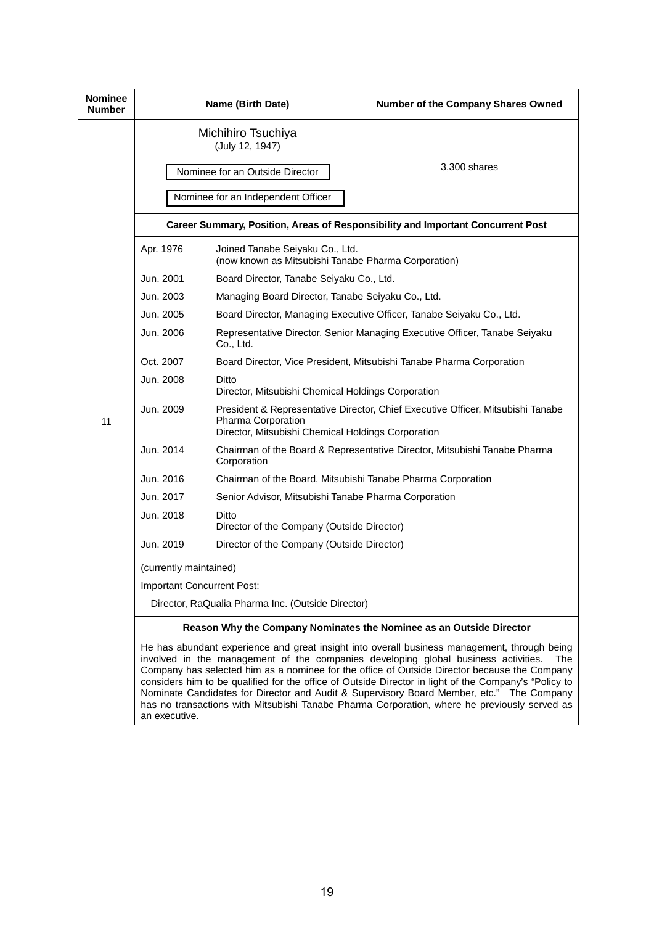| <b>Nominee</b><br><b>Number</b> | Name (Birth Date)                                                                                                                                                                                                                                                                                                                                                                                                                                                                                                                                                                                               |                                                                                                                                                             | Number of the Company Shares Owned                                         |  |
|---------------------------------|-----------------------------------------------------------------------------------------------------------------------------------------------------------------------------------------------------------------------------------------------------------------------------------------------------------------------------------------------------------------------------------------------------------------------------------------------------------------------------------------------------------------------------------------------------------------------------------------------------------------|-------------------------------------------------------------------------------------------------------------------------------------------------------------|----------------------------------------------------------------------------|--|
|                                 | Michihiro Tsuchiya<br>(July 12, 1947)<br>Nominee for an Outside Director                                                                                                                                                                                                                                                                                                                                                                                                                                                                                                                                        |                                                                                                                                                             | 3,300 shares                                                               |  |
|                                 | Nominee for an Independent Officer                                                                                                                                                                                                                                                                                                                                                                                                                                                                                                                                                                              |                                                                                                                                                             |                                                                            |  |
|                                 | Career Summary, Position, Areas of Responsibility and Important Concurrent Post                                                                                                                                                                                                                                                                                                                                                                                                                                                                                                                                 |                                                                                                                                                             |                                                                            |  |
|                                 | Apr. 1976                                                                                                                                                                                                                                                                                                                                                                                                                                                                                                                                                                                                       | Joined Tanabe Seiyaku Co., Ltd.<br>(now known as Mitsubishi Tanabe Pharma Corporation)                                                                      |                                                                            |  |
|                                 | Jun. 2001                                                                                                                                                                                                                                                                                                                                                                                                                                                                                                                                                                                                       | Board Director, Tanabe Seiyaku Co., Ltd.                                                                                                                    |                                                                            |  |
|                                 | Jun. 2003                                                                                                                                                                                                                                                                                                                                                                                                                                                                                                                                                                                                       | Managing Board Director, Tanabe Seiyaku Co., Ltd.                                                                                                           |                                                                            |  |
|                                 | Jun. 2005                                                                                                                                                                                                                                                                                                                                                                                                                                                                                                                                                                                                       | Board Director, Managing Executive Officer, Tanabe Seiyaku Co., Ltd.                                                                                        |                                                                            |  |
| 11                              | Jun. 2006                                                                                                                                                                                                                                                                                                                                                                                                                                                                                                                                                                                                       | Co., Ltd.                                                                                                                                                   | Representative Director, Senior Managing Executive Officer, Tanabe Seiyaku |  |
|                                 | Oct. 2007                                                                                                                                                                                                                                                                                                                                                                                                                                                                                                                                                                                                       | Board Director, Vice President, Mitsubishi Tanabe Pharma Corporation                                                                                        |                                                                            |  |
|                                 | Jun. 2008                                                                                                                                                                                                                                                                                                                                                                                                                                                                                                                                                                                                       | Ditto<br>Director, Mitsubishi Chemical Holdings Corporation                                                                                                 |                                                                            |  |
|                                 | Jun. 2009                                                                                                                                                                                                                                                                                                                                                                                                                                                                                                                                                                                                       | President & Representative Director, Chief Executive Officer, Mitsubishi Tanabe<br>Pharma Corporation<br>Director, Mitsubishi Chemical Holdings Corporation |                                                                            |  |
|                                 | Jun. 2014                                                                                                                                                                                                                                                                                                                                                                                                                                                                                                                                                                                                       | Chairman of the Board & Representative Director, Mitsubishi Tanabe Pharma<br>Corporation                                                                    |                                                                            |  |
|                                 | Jun. 2016                                                                                                                                                                                                                                                                                                                                                                                                                                                                                                                                                                                                       | Chairman of the Board, Mitsubishi Tanabe Pharma Corporation                                                                                                 |                                                                            |  |
|                                 | Jun. 2017                                                                                                                                                                                                                                                                                                                                                                                                                                                                                                                                                                                                       | Senior Advisor, Mitsubishi Tanabe Pharma Corporation                                                                                                        |                                                                            |  |
|                                 | Jun. 2018                                                                                                                                                                                                                                                                                                                                                                                                                                                                                                                                                                                                       | Ditto<br>Director of the Company (Outside Director)                                                                                                         |                                                                            |  |
|                                 | Jun. 2019                                                                                                                                                                                                                                                                                                                                                                                                                                                                                                                                                                                                       | Director of the Company (Outside Director)                                                                                                                  |                                                                            |  |
|                                 | (currently maintained)                                                                                                                                                                                                                                                                                                                                                                                                                                                                                                                                                                                          |                                                                                                                                                             |                                                                            |  |
|                                 | Important Concurrent Post:                                                                                                                                                                                                                                                                                                                                                                                                                                                                                                                                                                                      |                                                                                                                                                             |                                                                            |  |
|                                 | Director, RaQualia Pharma Inc. (Outside Director)                                                                                                                                                                                                                                                                                                                                                                                                                                                                                                                                                               |                                                                                                                                                             |                                                                            |  |
|                                 | Reason Why the Company Nominates the Nominee as an Outside Director                                                                                                                                                                                                                                                                                                                                                                                                                                                                                                                                             |                                                                                                                                                             |                                                                            |  |
|                                 | He has abundant experience and great insight into overall business management, through being<br>involved in the management of the companies developing global business activities.<br>The<br>Company has selected him as a nominee for the office of Outside Director because the Company<br>considers him to be qualified for the office of Outside Director in light of the Company's "Policy to<br>Nominate Candidates for Director and Audit & Supervisory Board Member, etc." The Company<br>has no transactions with Mitsubishi Tanabe Pharma Corporation, where he previously served as<br>an executive. |                                                                                                                                                             |                                                                            |  |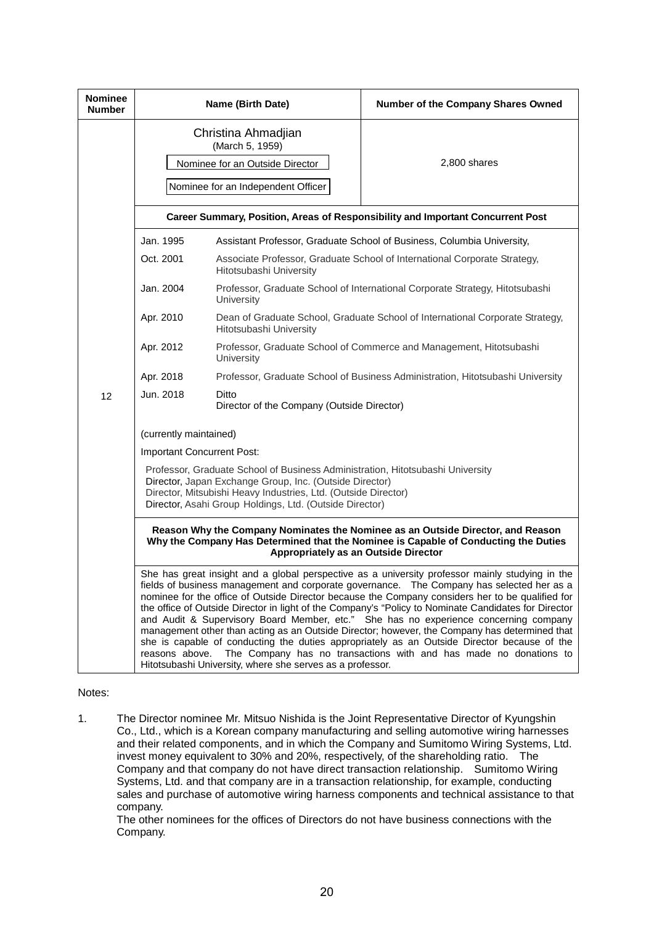| <b>Nominee</b><br><b>Number</b> |                                                                                                                                                                                                                                                                                                                                                                                                                                                                                                                                                                                                                                                                                                                                                                                                                                                       | Name (Birth Date)                                                                                        | Number of the Company Shares Owned                                     |  |
|---------------------------------|-------------------------------------------------------------------------------------------------------------------------------------------------------------------------------------------------------------------------------------------------------------------------------------------------------------------------------------------------------------------------------------------------------------------------------------------------------------------------------------------------------------------------------------------------------------------------------------------------------------------------------------------------------------------------------------------------------------------------------------------------------------------------------------------------------------------------------------------------------|----------------------------------------------------------------------------------------------------------|------------------------------------------------------------------------|--|
|                                 | Christina Ahmadjian<br>(March 5, 1959)<br>Nominee for an Outside Director<br>Nominee for an Independent Officer                                                                                                                                                                                                                                                                                                                                                                                                                                                                                                                                                                                                                                                                                                                                       |                                                                                                          | 2,800 shares                                                           |  |
|                                 | Career Summary, Position, Areas of Responsibility and Important Concurrent Post                                                                                                                                                                                                                                                                                                                                                                                                                                                                                                                                                                                                                                                                                                                                                                       |                                                                                                          |                                                                        |  |
|                                 | Jan. 1995                                                                                                                                                                                                                                                                                                                                                                                                                                                                                                                                                                                                                                                                                                                                                                                                                                             |                                                                                                          | Assistant Professor, Graduate School of Business, Columbia University, |  |
|                                 | Oct. 2001                                                                                                                                                                                                                                                                                                                                                                                                                                                                                                                                                                                                                                                                                                                                                                                                                                             | Associate Professor, Graduate School of International Corporate Strategy,<br>Hitotsubashi University     |                                                                        |  |
|                                 | Jan. 2004                                                                                                                                                                                                                                                                                                                                                                                                                                                                                                                                                                                                                                                                                                                                                                                                                                             | Professor, Graduate School of International Corporate Strategy, Hitotsubashi<br>University               |                                                                        |  |
|                                 | Apr. 2010                                                                                                                                                                                                                                                                                                                                                                                                                                                                                                                                                                                                                                                                                                                                                                                                                                             | Dean of Graduate School, Graduate School of International Corporate Strategy,<br>Hitotsubashi University |                                                                        |  |
| 12                              | Apr. 2012                                                                                                                                                                                                                                                                                                                                                                                                                                                                                                                                                                                                                                                                                                                                                                                                                                             | Professor, Graduate School of Commerce and Management, Hitotsubashi<br>University                        |                                                                        |  |
|                                 | Apr. 2018                                                                                                                                                                                                                                                                                                                                                                                                                                                                                                                                                                                                                                                                                                                                                                                                                                             | Professor, Graduate School of Business Administration, Hitotsubashi University                           |                                                                        |  |
|                                 | Jun. 2018                                                                                                                                                                                                                                                                                                                                                                                                                                                                                                                                                                                                                                                                                                                                                                                                                                             | Ditto<br>Director of the Company (Outside Director)                                                      |                                                                        |  |
|                                 | (currently maintained)                                                                                                                                                                                                                                                                                                                                                                                                                                                                                                                                                                                                                                                                                                                                                                                                                                |                                                                                                          |                                                                        |  |
|                                 | Important Concurrent Post:                                                                                                                                                                                                                                                                                                                                                                                                                                                                                                                                                                                                                                                                                                                                                                                                                            |                                                                                                          |                                                                        |  |
|                                 | Professor, Graduate School of Business Administration, Hitotsubashi University<br>Director, Japan Exchange Group, Inc. (Outside Director)<br>Director, Mitsubishi Heavy Industries, Ltd. (Outside Director)<br>Director, Asahi Group Holdings, Ltd. (Outside Director)                                                                                                                                                                                                                                                                                                                                                                                                                                                                                                                                                                                |                                                                                                          |                                                                        |  |
|                                 | Reason Why the Company Nominates the Nominee as an Outside Director, and Reason<br>Why the Company Has Determined that the Nominee is Capable of Conducting the Duties<br>Appropriately as an Outside Director                                                                                                                                                                                                                                                                                                                                                                                                                                                                                                                                                                                                                                        |                                                                                                          |                                                                        |  |
|                                 | She has great insight and a global perspective as a university professor mainly studying in the<br>fields of business management and corporate governance.  The Company has selected her as a<br>nominee for the office of Outside Director because the Company considers her to be qualified for<br>the office of Outside Director in light of the Company's "Policy to Nominate Candidates for Director<br>and Audit & Supervisory Board Member, etc." She has no experience concerning company<br>management other than acting as an Outside Director; however, the Company has determined that<br>she is capable of conducting the duties appropriately as an Outside Director because of the<br>The Company has no transactions with and has made no donations to<br>reasons above.<br>Hitotsubashi University, where she serves as a professor. |                                                                                                          |                                                                        |  |

#### Notes:

1. The Director nominee Mr. Mitsuo Nishida is the Joint Representative Director of Kyungshin Co., Ltd., which is a Korean company manufacturing and selling automotive wiring harnesses and their related components, and in which the Company and Sumitomo Wiring Systems, Ltd. invest money equivalent to 30% and 20%, respectively, of the shareholding ratio. The Company and that company do not have direct transaction relationship. Sumitomo Wiring Systems, Ltd. and that company are in a transaction relationship, for example, conducting sales and purchase of automotive wiring harness components and technical assistance to that company.

The other nominees for the offices of Directors do not have business connections with the Company.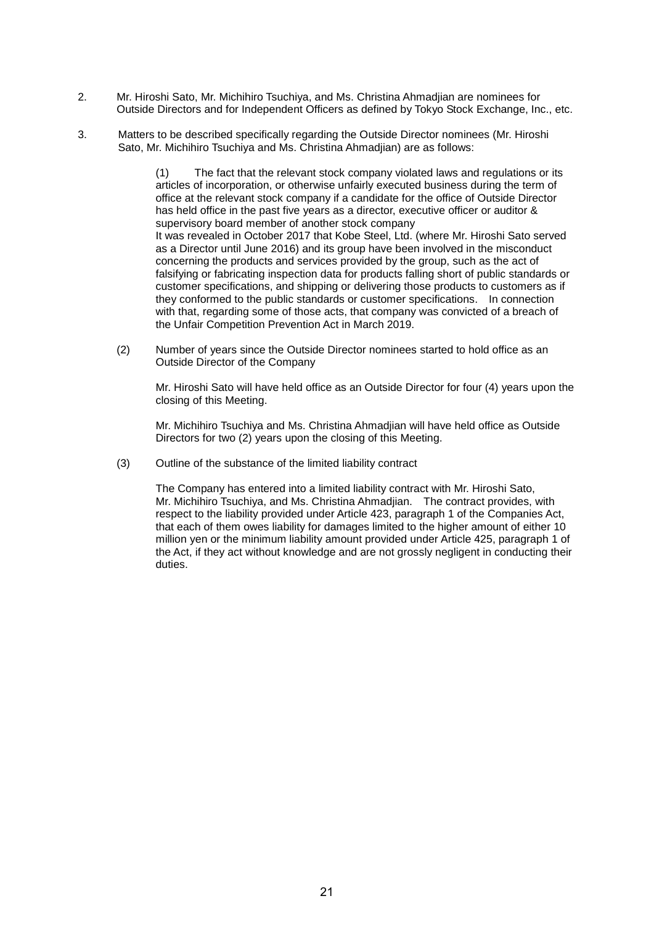- 2. Mr. Hiroshi Sato, Mr. Michihiro Tsuchiya, and Ms. Christina Ahmadjian are nominees for Outside Directors and for Independent Officers as defined by Tokyo Stock Exchange, Inc., etc.
- 3. Matters to be described specifically regarding the Outside Director nominees (Mr. Hiroshi Sato, Mr. Michihiro Tsuchiya and Ms. Christina Ahmadjian) are as follows:

(1) The fact that the relevant stock company violated laws and regulations or its articles of incorporation, or otherwise unfairly executed business during the term of office at the relevant stock company if a candidate for the office of Outside Director has held office in the past five years as a director, executive officer or auditor & supervisory board member of another stock company It was revealed in October 2017 that Kobe Steel, Ltd. (where Mr. Hiroshi Sato served as a Director until June 2016) and its group have been involved in the misconduct concerning the products and services provided by the group, such as the act of falsifying or fabricating inspection data for products falling short of public standards or customer specifications, and shipping or delivering those products to customers as if they conformed to the public standards or customer specifications. In connection with that, regarding some of those acts, that company was convicted of a breach of the Unfair Competition Prevention Act in March 2019.

(2) Number of years since the Outside Director nominees started to hold office as an Outside Director of the Company

Mr. Hiroshi Sato will have held office as an Outside Director for four (4) years upon the closing of this Meeting.

Mr. Michihiro Tsuchiya and Ms. Christina Ahmadjian will have held office as Outside Directors for two (2) years upon the closing of this Meeting.

(3) Outline of the substance of the limited liability contract

The Company has entered into a limited liability contract with Mr. Hiroshi Sato, Mr. Michihiro Tsuchiya, and Ms. Christina Ahmadjian. The contract provides, with respect to the liability provided under Article 423, paragraph 1 of the Companies Act, that each of them owes liability for damages limited to the higher amount of either 10 million yen or the minimum liability amount provided under Article 425, paragraph 1 of the Act, if they act without knowledge and are not grossly negligent in conducting their duties.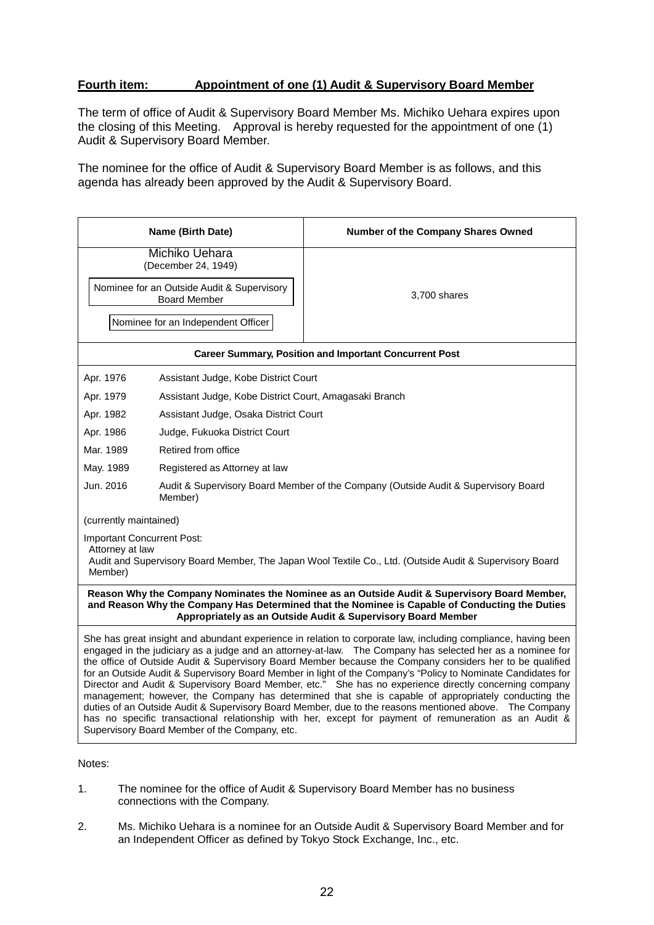# **Fourth item: Appointment of one (1) Audit & Supervisory Board Member**

The term of office of Audit & Supervisory Board Member Ms. Michiko Uehara expires upon the closing of this Meeting. Approval is hereby requested for the appointment of one (1) Audit & Supervisory Board Member.

The nominee for the office of Audit & Supervisory Board Member is as follows, and this agenda has already been approved by the Audit & Supervisory Board.

|                                                                                                                                                                                                                                                                | Name (Birth Date)                                                                             | Number of the Company Shares Owned                                                                                                                                                                                                                                                                                                                                                                                                                                                                                                                                                                                                                                                                                                                                                                                                                                                           |  |
|----------------------------------------------------------------------------------------------------------------------------------------------------------------------------------------------------------------------------------------------------------------|-----------------------------------------------------------------------------------------------|----------------------------------------------------------------------------------------------------------------------------------------------------------------------------------------------------------------------------------------------------------------------------------------------------------------------------------------------------------------------------------------------------------------------------------------------------------------------------------------------------------------------------------------------------------------------------------------------------------------------------------------------------------------------------------------------------------------------------------------------------------------------------------------------------------------------------------------------------------------------------------------------|--|
|                                                                                                                                                                                                                                                                | <b>Michiko Uehara</b><br>(December 24, 1949)                                                  |                                                                                                                                                                                                                                                                                                                                                                                                                                                                                                                                                                                                                                                                                                                                                                                                                                                                                              |  |
| Nominee for an Outside Audit & Supervisory<br><b>Board Member</b>                                                                                                                                                                                              |                                                                                               | 3,700 shares                                                                                                                                                                                                                                                                                                                                                                                                                                                                                                                                                                                                                                                                                                                                                                                                                                                                                 |  |
| Nominee for an Independent Officer                                                                                                                                                                                                                             |                                                                                               |                                                                                                                                                                                                                                                                                                                                                                                                                                                                                                                                                                                                                                                                                                                                                                                                                                                                                              |  |
| <b>Career Summary, Position and Important Concurrent Post</b>                                                                                                                                                                                                  |                                                                                               |                                                                                                                                                                                                                                                                                                                                                                                                                                                                                                                                                                                                                                                                                                                                                                                                                                                                                              |  |
| Apr. 1976                                                                                                                                                                                                                                                      | Assistant Judge, Kobe District Court                                                          |                                                                                                                                                                                                                                                                                                                                                                                                                                                                                                                                                                                                                                                                                                                                                                                                                                                                                              |  |
| Apr. 1979                                                                                                                                                                                                                                                      | Assistant Judge, Kobe District Court, Amagasaki Branch                                        |                                                                                                                                                                                                                                                                                                                                                                                                                                                                                                                                                                                                                                                                                                                                                                                                                                                                                              |  |
| Apr. 1982                                                                                                                                                                                                                                                      | Assistant Judge, Osaka District Court                                                         |                                                                                                                                                                                                                                                                                                                                                                                                                                                                                                                                                                                                                                                                                                                                                                                                                                                                                              |  |
| Apr. 1986                                                                                                                                                                                                                                                      | Judge, Fukuoka District Court                                                                 |                                                                                                                                                                                                                                                                                                                                                                                                                                                                                                                                                                                                                                                                                                                                                                                                                                                                                              |  |
| Mar. 1989                                                                                                                                                                                                                                                      | Retired from office                                                                           |                                                                                                                                                                                                                                                                                                                                                                                                                                                                                                                                                                                                                                                                                                                                                                                                                                                                                              |  |
| May. 1989                                                                                                                                                                                                                                                      | Registered as Attorney at law                                                                 |                                                                                                                                                                                                                                                                                                                                                                                                                                                                                                                                                                                                                                                                                                                                                                                                                                                                                              |  |
| Jun. 2016                                                                                                                                                                                                                                                      | Audit & Supervisory Board Member of the Company (Outside Audit & Supervisory Board<br>Member) |                                                                                                                                                                                                                                                                                                                                                                                                                                                                                                                                                                                                                                                                                                                                                                                                                                                                                              |  |
| (currently maintained)                                                                                                                                                                                                                                         |                                                                                               |                                                                                                                                                                                                                                                                                                                                                                                                                                                                                                                                                                                                                                                                                                                                                                                                                                                                                              |  |
| <b>Important Concurrent Post:</b><br>Attorney at law<br>Audit and Supervisory Board Member, The Japan Wool Textile Co., Ltd. (Outside Audit & Supervisory Board<br>Member)                                                                                     |                                                                                               |                                                                                                                                                                                                                                                                                                                                                                                                                                                                                                                                                                                                                                                                                                                                                                                                                                                                                              |  |
| Reason Why the Company Nominates the Nominee as an Outside Audit & Supervisory Board Member,<br>and Reason Why the Company Has Determined that the Nominee is Capable of Conducting the Duties<br>Appropriately as an Outside Audit & Supervisory Board Member |                                                                                               |                                                                                                                                                                                                                                                                                                                                                                                                                                                                                                                                                                                                                                                                                                                                                                                                                                                                                              |  |
|                                                                                                                                                                                                                                                                | Supervisory Board Member of the Company, etc.                                                 | She has great insight and abundant experience in relation to corporate law, including compliance, having been<br>engaged in the judiciary as a judge and an attorney-at-law.  The Company has selected her as a nominee for<br>the office of Outside Audit & Supervisory Board Member because the Company considers her to be qualified<br>for an Outside Audit & Supervisory Board Member in light of the Company's "Policy to Nominate Candidates for<br>Director and Audit & Supervisory Board Member, etc." She has no experience directly concerning company<br>management; however, the Company has determined that she is capable of appropriately conducting the<br>duties of an Outside Audit & Supervisory Board Member, due to the reasons mentioned above.  The Company<br>has no specific transactional relationship with her, except for payment of remuneration as an Audit & |  |

Notes:

- 1. The nominee for the office of Audit & Supervisory Board Member has no business connections with the Company.
- 2. Ms. Michiko Uehara is a nominee for an Outside Audit & Supervisory Board Member and for an Independent Officer as defined by Tokyo Stock Exchange, Inc., etc.